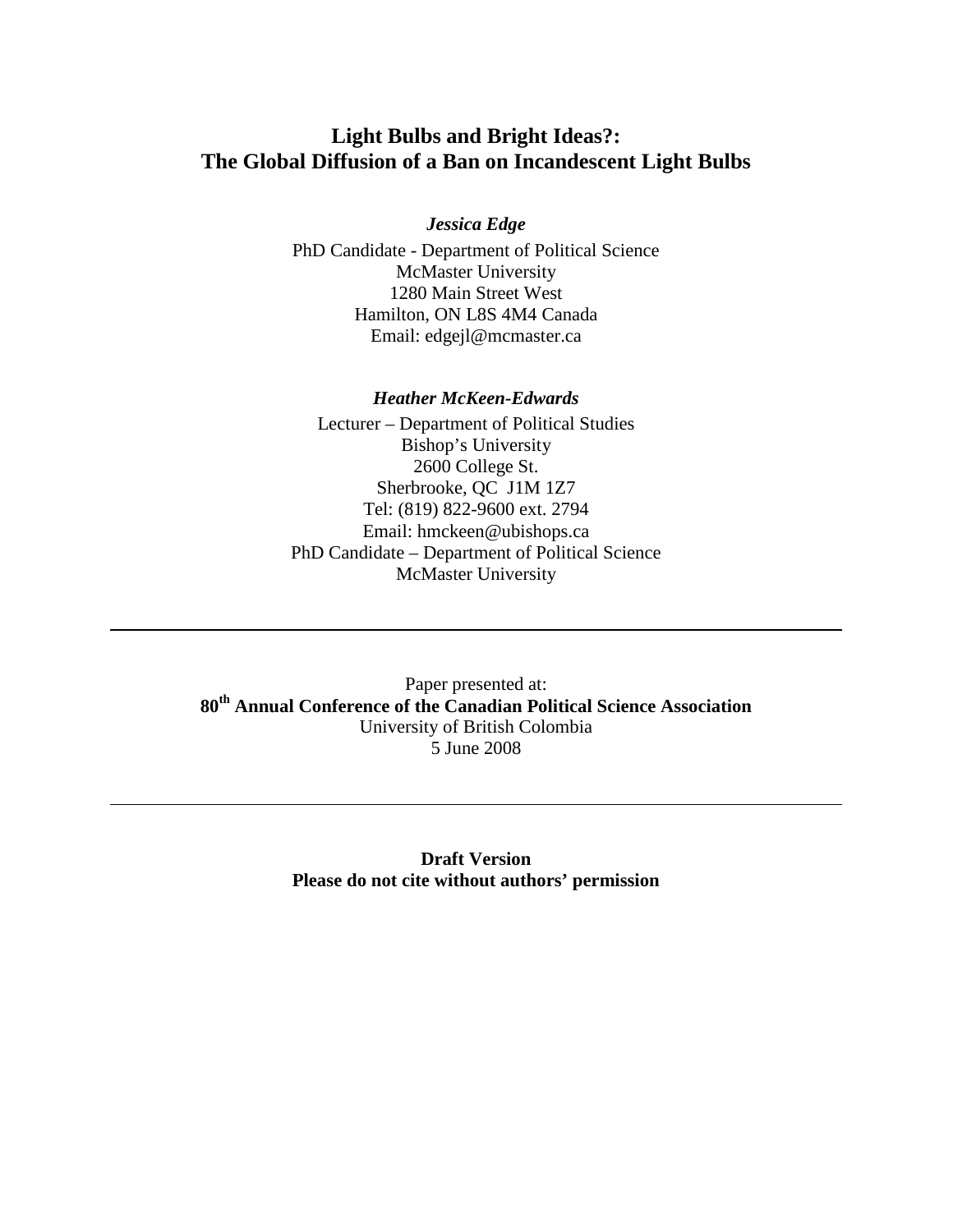# **Light Bulbs and Bright Ideas?: The Global Diffusion of a Ban on Incandescent Light Bulbs**

### *Jessica Edge*

PhD Candidate - Department of Political Science McMaster University 1280 Main Street West Hamilton, ON L8S 4M4 Canada Email: edgejl@mcmaster.ca

#### *Heather McKeen-Edwards*

Lecturer – Department of Political Studies Bishop's University 2600 College St. Sherbrooke, QC J1M 1Z7 Tel: (819) 822-9600 ext. 2794 Email: hmckeen@ubishops.ca PhD Candidate – Department of Political Science McMaster University

Paper presented at: **80th Annual Conference of the Canadian Political Science Association** University of British Colombia 5 June 2008

> **Draft Version Please do not cite without authors' permission**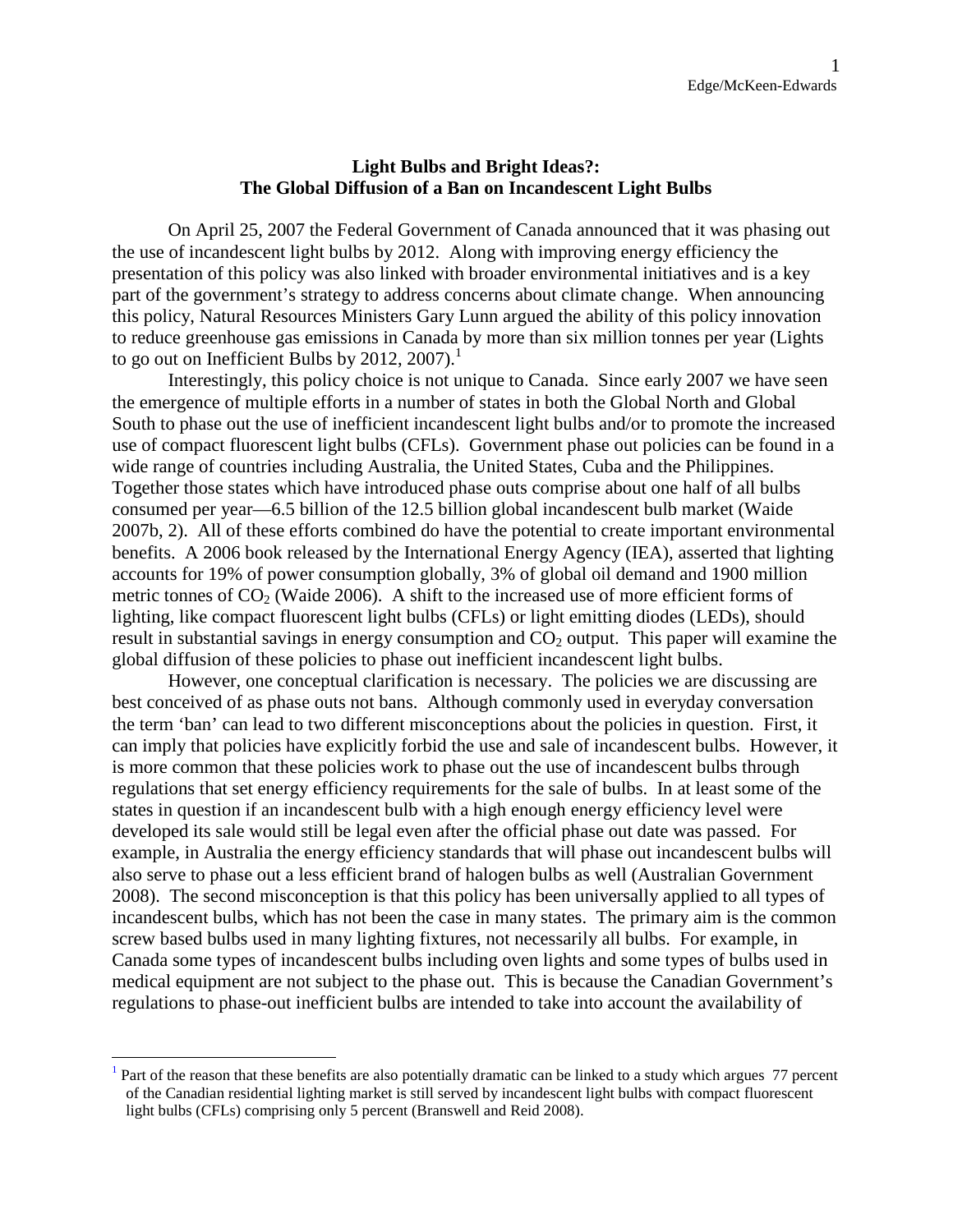#### **Light Bulbs and Bright Ideas?: The Global Diffusion of a Ban on Incandescent Light Bulbs**

On April 25, 2007 the Federal Government of Canada announced that it was phasing out the use of incandescent light bulbs by 2012. Along with improving energy efficiency the presentation of this policy was also linked with broader environmental initiatives and is a key part of the government's strategy to address concerns about climate change. When announcing this policy, Natural Resources Ministers Gary Lunn argued the ability of this policy innovation to reduce greenhouse gas emissions in Canada by more than six million tonnes per year (Lights to go out on Inefficient Bulbs by 20[1](#page-1-0)2, 2007). $^1$ 

Interestingly, this policy choice is not unique to Canada. Since early 2007 we have seen the emergence of multiple efforts in a number of states in both the Global North and Global South to phase out the use of inefficient incandescent light bulbs and/or to promote the increased use of compact fluorescent light bulbs (CFLs). Government phase out policies can be found in a wide range of countries including Australia, the United States, Cuba and the Philippines. Together those states which have introduced phase outs comprise about one half of all bulbs consumed per year—6.5 billion of the 12.5 billion global incandescent bulb market (Waide 2007b, 2). All of these efforts combined do have the potential to create important environmental benefits. A 2006 book released by the International Energy Agency (IEA), asserted that lighting accounts for 19% of power consumption globally, 3% of global oil demand and 1900 million metric tonnes of  $CO<sub>2</sub>$  (Waide 2006). A shift to the increased use of more efficient forms of lighting, like compact fluorescent light bulbs (CFLs) or light emitting diodes (LEDs), should result in substantial savings in energy consumption and  $CO<sub>2</sub>$  output. This paper will examine the global diffusion of these policies to phase out inefficient incandescent light bulbs.

However, one conceptual clarification is necessary. The policies we are discussing are best conceived of as phase outs not bans. Although commonly used in everyday conversation the term 'ban' can lead to two different misconceptions about the policies in question. First, it can imply that policies have explicitly forbid the use and sale of incandescent bulbs. However, it is more common that these policies work to phase out the use of incandescent bulbs through regulations that set energy efficiency requirements for the sale of bulbs. In at least some of the states in question if an incandescent bulb with a high enough energy efficiency level were developed its sale would still be legal even after the official phase out date was passed. For example, in Australia the energy efficiency standards that will phase out incandescent bulbs will also serve to phase out a less efficient brand of halogen bulbs as well (Australian Government 2008). The second misconception is that this policy has been universally applied to all types of incandescent bulbs, which has not been the case in many states. The primary aim is the common screw based bulbs used in many lighting fixtures, not necessarily all bulbs. For example, in Canada some types of incandescent bulbs including oven lights and some types of bulbs used in medical equipment are not subject to the phase out. This is because the Canadian Government's regulations to phase-out inefficient bulbs are intended to take into account the availability of

<span id="page-1-0"></span><sup>1</sup> Part of the reason that these benefits are also potentially dramatic can be linked to a study which argues 77 percent of the Canadian residential lighting market is still served by incandescent light bulbs with compact fluorescent light bulbs (CFLs) comprising only 5 percent (Branswell and Reid 2008).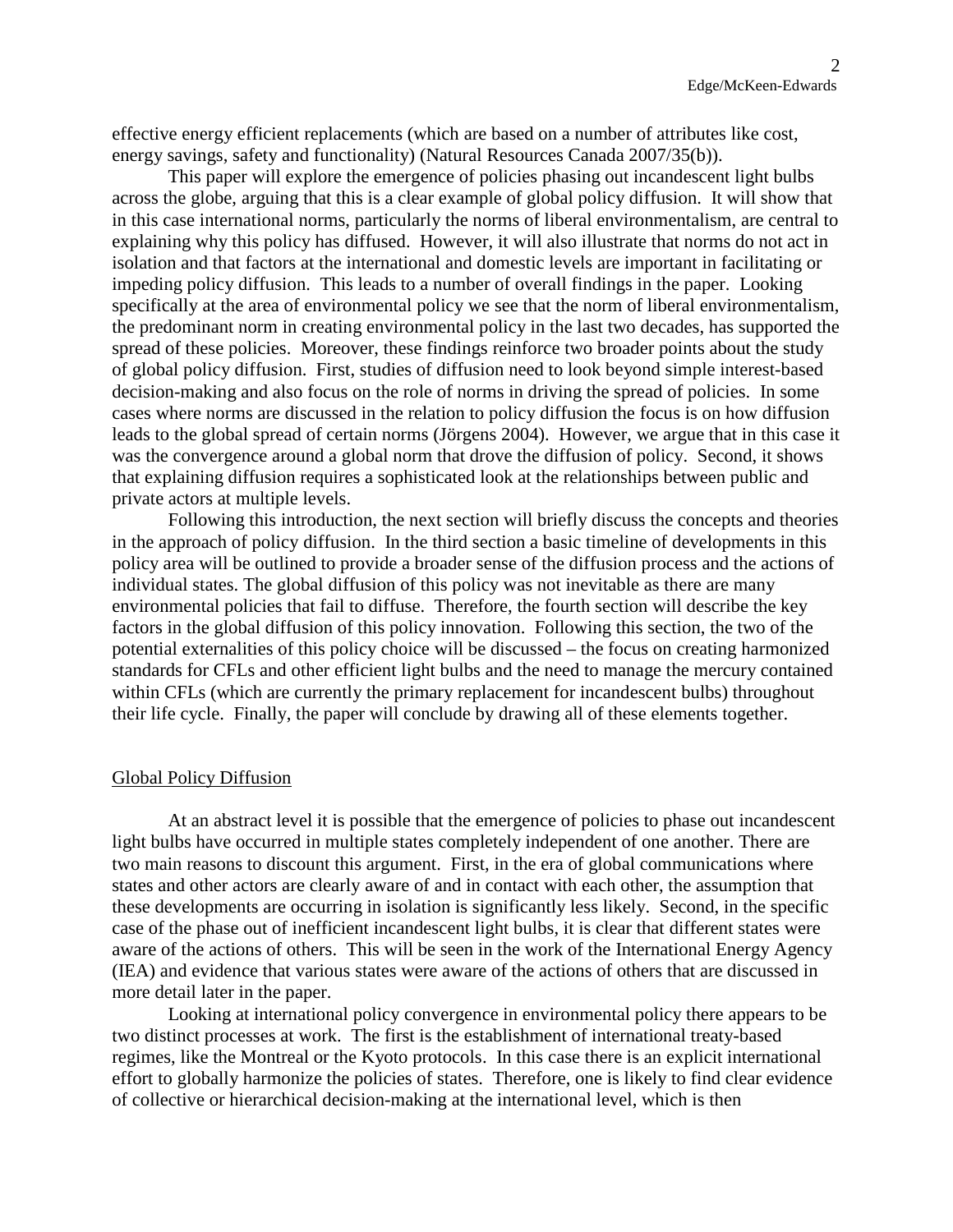effective energy efficient replacements (which are based on a number of attributes like cost, energy savings, safety and functionality) (Natural Resources Canada 2007/35(b)).

This paper will explore the emergence of policies phasing out incandescent light bulbs across the globe, arguing that this is a clear example of global policy diffusion. It will show that in this case international norms, particularly the norms of liberal environmentalism, are central to explaining why this policy has diffused. However, it will also illustrate that norms do not act in isolation and that factors at the international and domestic levels are important in facilitating or impeding policy diffusion. This leads to a number of overall findings in the paper. Looking specifically at the area of environmental policy we see that the norm of liberal environmentalism, the predominant norm in creating environmental policy in the last two decades, has supported the spread of these policies. Moreover, these findings reinforce two broader points about the study of global policy diffusion. First, studies of diffusion need to look beyond simple interest-based decision-making and also focus on the role of norms in driving the spread of policies. In some cases where norms are discussed in the relation to policy diffusion the focus is on how diffusion leads to the global spread of certain norms (Jörgens 2004). However, we argue that in this case it was the convergence around a global norm that drove the diffusion of policy. Second, it shows that explaining diffusion requires a sophisticated look at the relationships between public and private actors at multiple levels.

Following this introduction, the next section will briefly discuss the concepts and theories in the approach of policy diffusion. In the third section a basic timeline of developments in this policy area will be outlined to provide a broader sense of the diffusion process and the actions of individual states. The global diffusion of this policy was not inevitable as there are many environmental policies that fail to diffuse. Therefore, the fourth section will describe the key factors in the global diffusion of this policy innovation. Following this section, the two of the potential externalities of this policy choice will be discussed – the focus on creating harmonized standards for CFLs and other efficient light bulbs and the need to manage the mercury contained within CFLs (which are currently the primary replacement for incandescent bulbs) throughout their life cycle. Finally, the paper will conclude by drawing all of these elements together.

#### Global Policy Diffusion

At an abstract level it is possible that the emergence of policies to phase out incandescent light bulbs have occurred in multiple states completely independent of one another. There are two main reasons to discount this argument. First, in the era of global communications where states and other actors are clearly aware of and in contact with each other, the assumption that these developments are occurring in isolation is significantly less likely. Second, in the specific case of the phase out of inefficient incandescent light bulbs, it is clear that different states were aware of the actions of others. This will be seen in the work of the International Energy Agency (IEA) and evidence that various states were aware of the actions of others that are discussed in more detail later in the paper.

Looking at international policy convergence in environmental policy there appears to be two distinct processes at work. The first is the establishment of international treaty-based regimes, like the Montreal or the Kyoto protocols. In this case there is an explicit international effort to globally harmonize the policies of states. Therefore, one is likely to find clear evidence of collective or hierarchical decision-making at the international level, which is then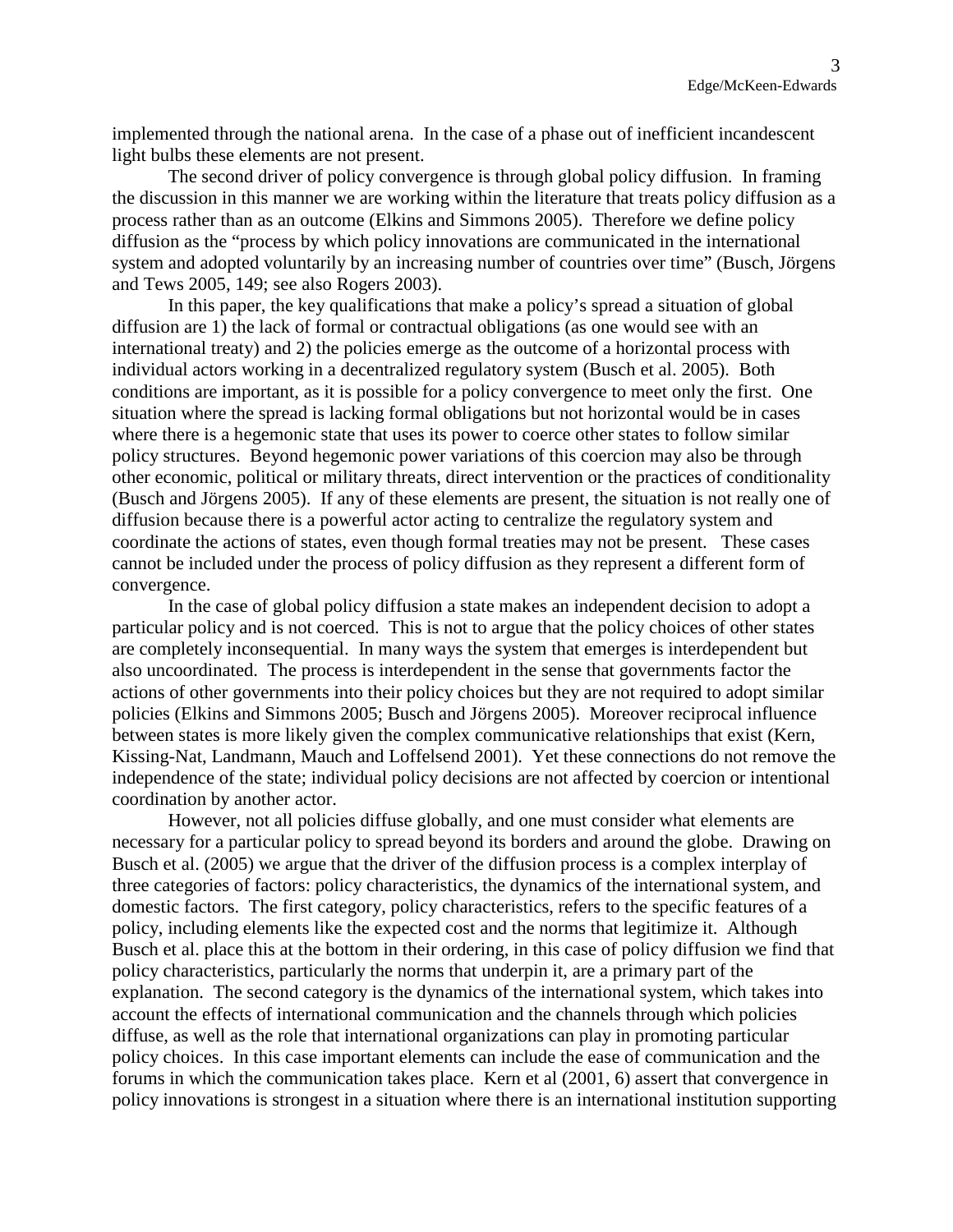implemented through the national arena. In the case of a phase out of inefficient incandescent light bulbs these elements are not present.

The second driver of policy convergence is through global policy diffusion. In framing the discussion in this manner we are working within the literature that treats policy diffusion as a process rather than as an outcome (Elkins and Simmons 2005). Therefore we define policy diffusion as the "process by which policy innovations are communicated in the international system and adopted voluntarily by an increasing number of countries over time" (Busch, Jörgens and Tews 2005, 149; see also Rogers 2003).

In this paper, the key qualifications that make a policy's spread a situation of global diffusion are 1) the lack of formal or contractual obligations (as one would see with an international treaty) and 2) the policies emerge as the outcome of a horizontal process with individual actors working in a decentralized regulatory system (Busch et al. 2005). Both conditions are important, as it is possible for a policy convergence to meet only the first. One situation where the spread is lacking formal obligations but not horizontal would be in cases where there is a hegemonic state that uses its power to coerce other states to follow similar policy structures. Beyond hegemonic power variations of this coercion may also be through other economic, political or military threats, direct intervention or the practices of conditionality (Busch and Jörgens 2005). If any of these elements are present, the situation is not really one of diffusion because there is a powerful actor acting to centralize the regulatory system and coordinate the actions of states, even though formal treaties may not be present. These cases cannot be included under the process of policy diffusion as they represent a different form of convergence.

In the case of global policy diffusion a state makes an independent decision to adopt a particular policy and is not coerced. This is not to argue that the policy choices of other states are completely inconsequential. In many ways the system that emerges is interdependent but also uncoordinated. The process is interdependent in the sense that governments factor the actions of other governments into their policy choices but they are not required to adopt similar policies (Elkins and Simmons 2005; Busch and Jörgens 2005). Moreover reciprocal influence between states is more likely given the complex communicative relationships that exist (Kern, Kissing-Nat, Landmann, Mauch and Loffelsend 2001). Yet these connections do not remove the independence of the state; individual policy decisions are not affected by coercion or intentional coordination by another actor.

However, not all policies diffuse globally, and one must consider what elements are necessary for a particular policy to spread beyond its borders and around the globe. Drawing on Busch et al. (2005) we argue that the driver of the diffusion process is a complex interplay of three categories of factors: policy characteristics, the dynamics of the international system, and domestic factors. The first category, policy characteristics, refers to the specific features of a policy, including elements like the expected cost and the norms that legitimize it. Although Busch et al. place this at the bottom in their ordering, in this case of policy diffusion we find that policy characteristics, particularly the norms that underpin it, are a primary part of the explanation. The second category is the dynamics of the international system, which takes into account the effects of international communication and the channels through which policies diffuse, as well as the role that international organizations can play in promoting particular policy choices. In this case important elements can include the ease of communication and the forums in which the communication takes place. Kern et al (2001, 6) assert that convergence in policy innovations is strongest in a situation where there is an international institution supporting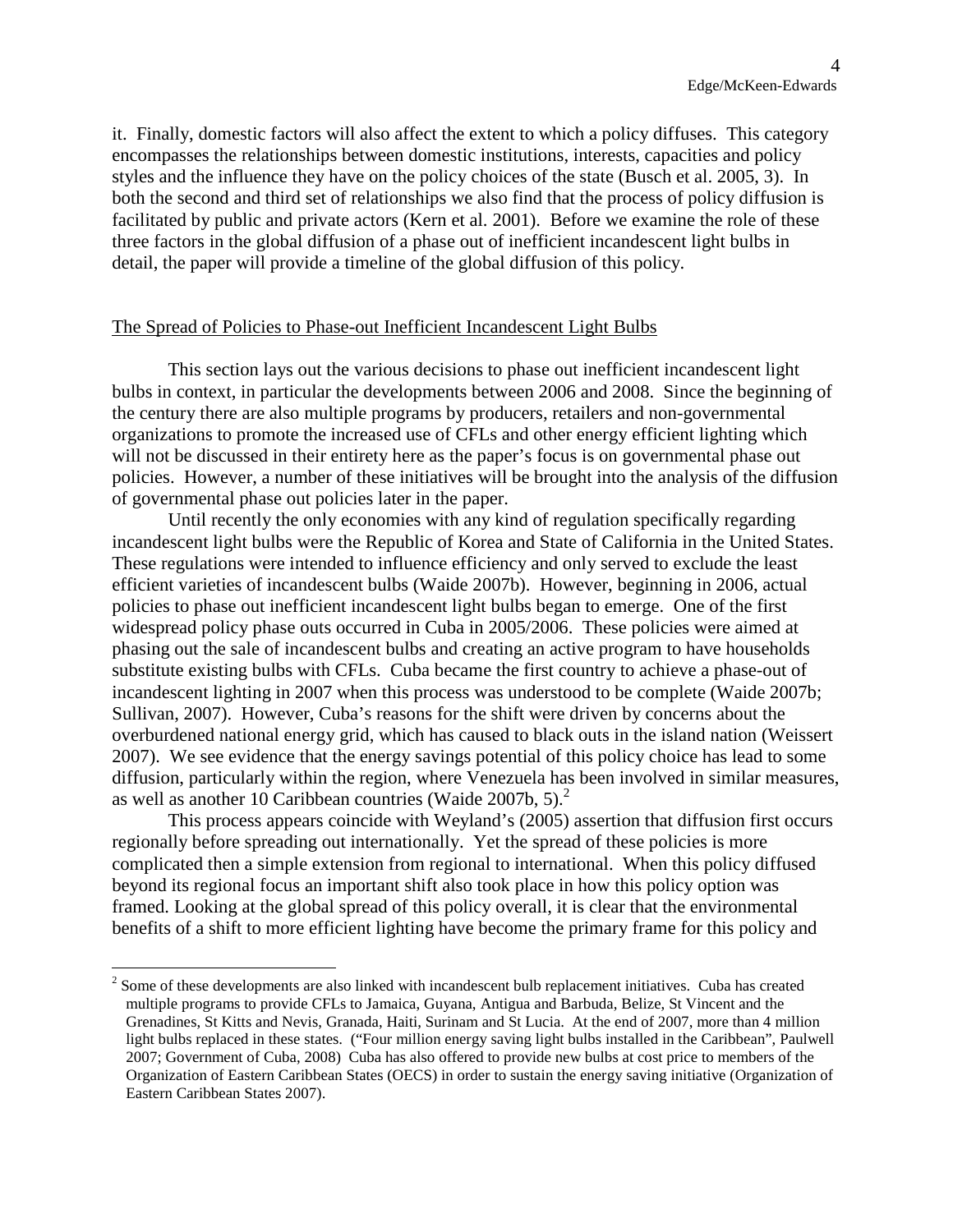it. Finally, domestic factors will also affect the extent to which a policy diffuses. This category encompasses the relationships between domestic institutions, interests, capacities and policy styles and the influence they have on the policy choices of the state (Busch et al. 2005, 3). In both the second and third set of relationships we also find that the process of policy diffusion is facilitated by public and private actors (Kern et al. 2001). Before we examine the role of these three factors in the global diffusion of a phase out of inefficient incandescent light bulbs in detail, the paper will provide a timeline of the global diffusion of this policy.

#### The Spread of Policies to Phase-out Inefficient Incandescent Light Bulbs

This section lays out the various decisions to phase out inefficient incandescent light bulbs in context, in particular the developments between 2006 and 2008. Since the beginning of the century there are also multiple programs by producers, retailers and non-governmental organizations to promote the increased use of CFLs and other energy efficient lighting which will not be discussed in their entirety here as the paper's focus is on governmental phase out policies. However, a number of these initiatives will be brought into the analysis of the diffusion of governmental phase out policies later in the paper.

Until recently the only economies with any kind of regulation specifically regarding incandescent light bulbs were the Republic of Korea and State of California in the United States. These regulations were intended to influence efficiency and only served to exclude the least efficient varieties of incandescent bulbs (Waide 2007b). However, beginning in 2006, actual policies to phase out inefficient incandescent light bulbs began to emerge. One of the first widespread policy phase outs occurred in Cuba in 2005/2006. These policies were aimed at phasing out the sale of incandescent bulbs and creating an active program to have households substitute existing bulbs with CFLs. Cuba became the first country to achieve a phase-out of incandescent lighting in 2007 when this process was understood to be complete (Waide 2007b; Sullivan, 2007). However, Cuba's reasons for the shift were driven by concerns about the overburdened national energy grid, which has caused to black outs in the island nation (Weissert 2007). We see evidence that the energy savings potential of this policy choice has lead to some diffusion, particularly within the region, where Venezuela has been involved in similar measures, aswell as another 10 Caribbean countries (Waide  $2007b$ , 5)[.](#page-4-0)<sup>2</sup>

This process appears coincide with Weyland's (2005) assertion that diffusion first occurs regionally before spreading out internationally. Yet the spread of these policies is more complicated then a simple extension from regional to international. When this policy diffused beyond its regional focus an important shift also took place in how this policy option was framed. Looking at the global spread of this policy overall, it is clear that the environmental benefits of a shift to more efficient lighting have become the primary frame for this policy and

<span id="page-4-0"></span> $2^{2}$  Some of these developments are also linked with incandescent bulb replacement initiatives. Cuba has created multiple programs to provide CFLs to Jamaica, Guyana, Antigua and Barbuda, Belize, St Vincent and the Grenadines, St Kitts and Nevis, Granada, Haiti, Surinam and St Lucia. At the end of 2007, more than 4 million light bulbs replaced in these states. ("Four million energy saving light bulbs installed in the Caribbean", Paulwell 2007; Government of Cuba, 2008) Cuba has also offered to provide new bulbs at cost price to members of the Organization of Eastern Caribbean States (OECS) in order to sustain the energy saving initiative (Organization of Eastern Caribbean States 2007).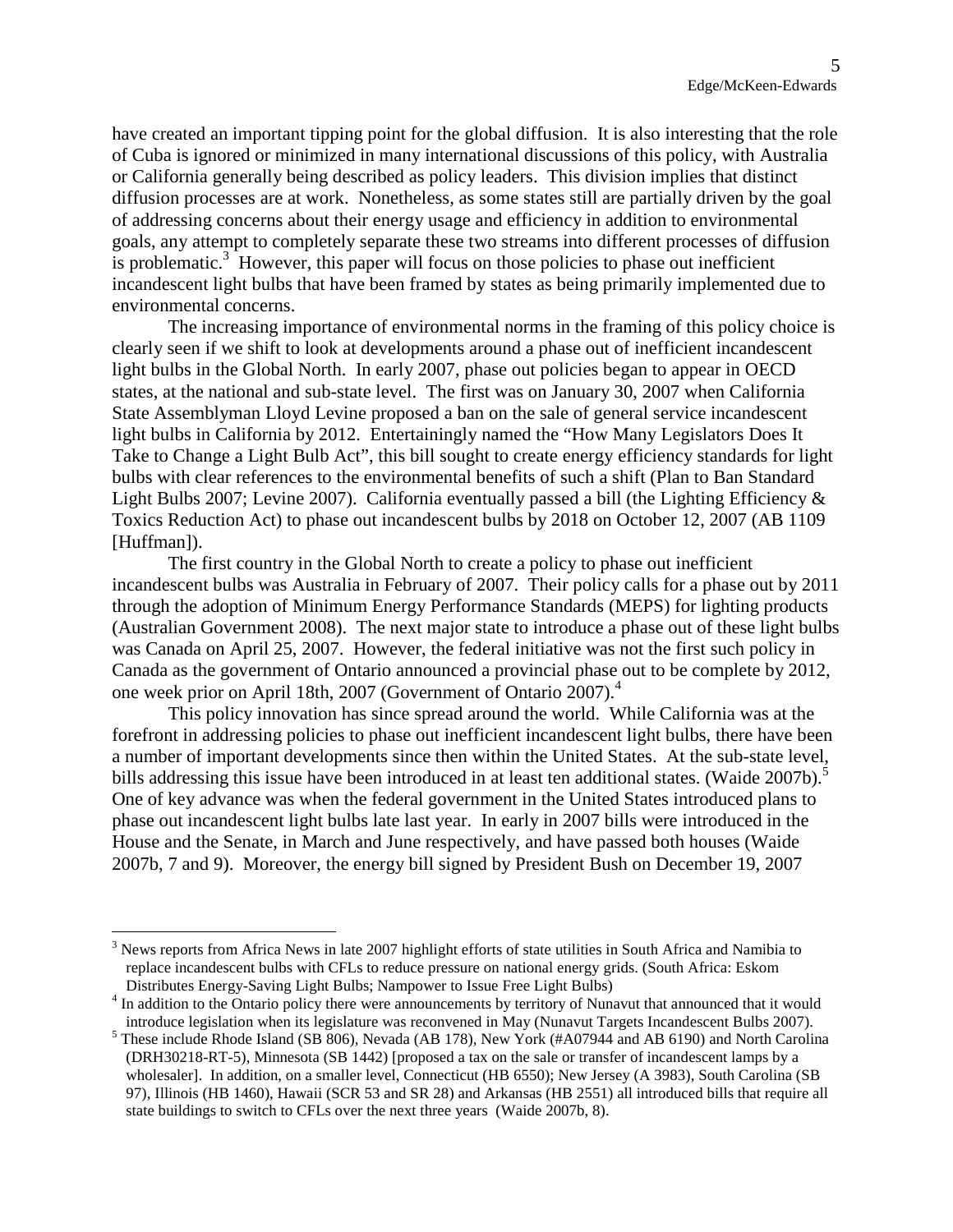have created an important tipping point for the global diffusion. It is also interesting that the role of Cuba is ignored or minimized in many international discussions of this policy, with Australia or California generally being described as policy leaders. This division implies that distinct diffusion processes are at work. Nonetheless, as some states still are partially driven by the goal of addressing concerns about their energy usage and efficiency in addition to environmental goals, any attempt to completely separate these two streams into different processes of diffusion is problematic. $3$  However, this paper will focus on those policies to phase out inefficient incandescent light bulbs that have been framed by states as being primarily implemented due to environmental concerns.

The increasing importance of environmental norms in the framing of this policy choice is clearly seen if we shift to look at developments around a phase out of inefficient incandescent light bulbs in the Global North. In early 2007, phase out policies began to appear in OECD states, at the national and sub-state level. The first was on January 30, 2007 when California State Assemblyman Lloyd Levine proposed a ban on the sale of general service incandescent light bulbs in California by 2012. Entertainingly named the "How Many Legislators Does It Take to Change a Light Bulb Act", this bill sought to create energy efficiency standards for light bulbs with clear references to the environmental benefits of such a shift (Plan to Ban Standard Light Bulbs 2007; Levine 2007). California eventually passed a bill (the Lighting Efficiency & Toxics Reduction Act) to phase out incandescent bulbs by 2018 on October 12, 2007 (AB 1109 [Huffman]).

The first country in the Global North to create a policy to phase out inefficient incandescent bulbs was Australia in February of 2007. Their policy calls for a phase out by 2011 through the adoption of Minimum Energy Performance Standards (MEPS) for lighting products (Australian Government 2008). The next major state to introduce a phase out of these light bulbs was Canada on April 25, 2007. However, the federal initiative was not the first such policy in Canada as the government of Ontario announced a provincial phase out to be complete by 2012, one week prior on April 18th, 2007 (Government of Ontario 2007).<sup>[4](#page-5-1)</sup>

This policy innovation has since spread around the world. While California was at the forefront in addressing policies to phase out inefficient incandescent light bulbs, there have been a number of important developments since then within the United States. At the sub-state level, bills addressing this issue have been introduced in at least ten additional states. (Waide 2007b).<sup>[5](#page-5-2)</sup> One of key advance was when the federal government in the United States introduced plans to phase out incandescent light bulbs late last year. In early in 2007 bills were introduced in the House and the Senate, in March and June respectively, and have passed both houses (Waide 2007b, 7 and 9). Moreover, the energy bill signed by President Bush on December 19, 2007

<span id="page-5-0"></span> $3$  News reports from Africa News in late 2007 highlight efforts of state utilities in South Africa and Namibia to replace incandescent bulbs with CFLs to reduce pressure on national energy grids. (South Africa: Eskom Distributes Energy-Saving Light Bulbs; Nampower to Issue Free Light Bulbs)

<span id="page-5-1"></span><sup>&</sup>lt;sup>4</sup> In addition to the Ontario policy there were announcements by territory of Nunavut that announced that it would introduce legislation when its legislature was reconvened in May (Nunavut Targets Incandescent Bulbs 2007).

<span id="page-5-2"></span><sup>&</sup>lt;sup>5</sup> These include Rhode Island (SB 806), Nevada (AB 178), New York (#A07944 and AB 6190) and North Carolina (DRH30218-RT-5), Minnesota (SB 1442) [proposed a tax on the sale or transfer of incandescent lamps by a wholesaler]. In addition, on a smaller level, Connecticut (HB 6550); New Jersey (A 3983), South Carolina (SB 97), Illinois (HB 1460), Hawaii (SCR 53 and SR 28) and Arkansas (HB 2551) all introduced bills that require all state buildings to switch to CFLs over the next three years (Waide 2007b, 8).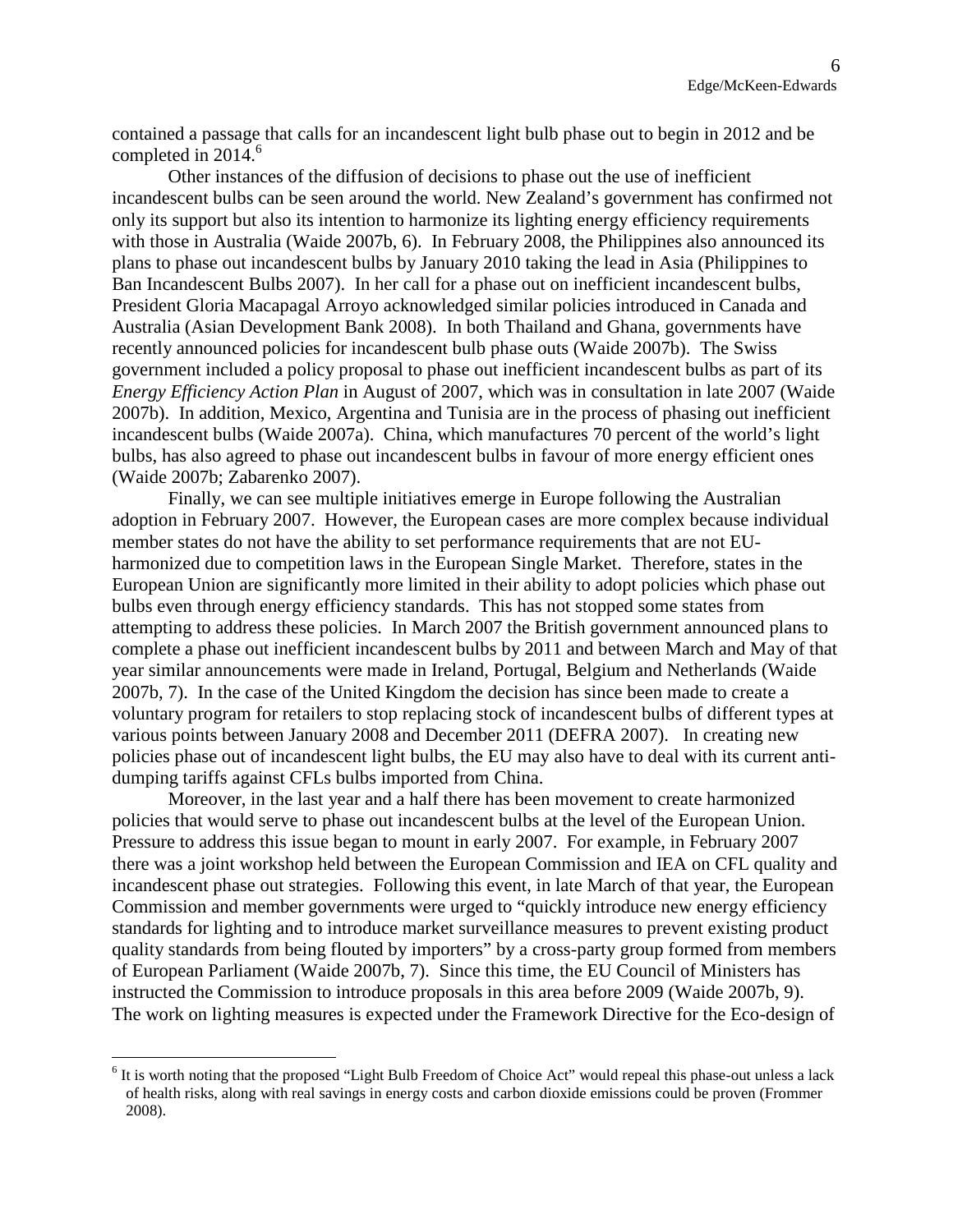contained a passage that calls for an incandescent light bulb phase out to begin in 2012 and be completedin  $2014<sup>6</sup>$ 

Other instances of the diffusion of decisions to phase out the use of inefficient incandescent bulbs can be seen around the world. New Zealand's government has confirmed not only its support but also its intention to harmonize its lighting energy efficiency requirements with those in Australia (Waide 2007b, 6). In February 2008, the Philippines also announced its plans to phase out incandescent bulbs by January 2010 taking the lead in Asia (Philippines to Ban Incandescent Bulbs 2007). In her call for a phase out on inefficient incandescent bulbs, President Gloria Macapagal Arroyo acknowledged similar policies introduced in Canada and Australia (Asian Development Bank 2008). In both Thailand and Ghana, governments have recently announced policies for incandescent bulb phase outs (Waide 2007b). The Swiss government included a policy proposal to phase out inefficient incandescent bulbs as part of its *Energy Efficiency Action Plan* in August of 2007, which was in consultation in late 2007 (Waide 2007b). In addition, Mexico, Argentina and Tunisia are in the process of phasing out inefficient incandescent bulbs (Waide 2007a). China, which manufactures 70 percent of the world's light bulbs, has also agreed to phase out incandescent bulbs in favour of more energy efficient ones (Waide 2007b; Zabarenko 2007).

Finally, we can see multiple initiatives emerge in Europe following the Australian adoption in February 2007. However, the European cases are more complex because individual member states do not have the ability to set performance requirements that are not EUharmonized due to competition laws in the European Single Market. Therefore, states in the European Union are significantly more limited in their ability to adopt policies which phase out bulbs even through energy efficiency standards. This has not stopped some states from attempting to address these policies. In March 2007 the British government announced plans to complete a phase out inefficient incandescent bulbs by 2011 and between March and May of that year similar announcements were made in Ireland, Portugal, Belgium and Netherlands (Waide 2007b, 7). In the case of the United Kingdom the decision has since been made to create a voluntary program for retailers to stop replacing stock of incandescent bulbs of different types at various points between January 2008 and December 2011 (DEFRA 2007). In creating new policies phase out of incandescent light bulbs, the EU may also have to deal with its current antidumping tariffs against CFLs bulbs imported from China.

Moreover, in the last year and a half there has been movement to create harmonized policies that would serve to phase out incandescent bulbs at the level of the European Union. Pressure to address this issue began to mount in early 2007. For example, in February 2007 there was a joint workshop held between the European Commission and IEA on CFL quality and incandescent phase out strategies. Following this event, in late March of that year, the European Commission and member governments were urged to "quickly introduce new energy efficiency standards for lighting and to introduce market surveillance measures to prevent existing product quality standards from being flouted by importers" by a cross-party group formed from members of European Parliament (Waide 2007b, 7). Since this time, the EU Council of Ministers has instructed the Commission to introduce proposals in this area before 2009 (Waide 2007b, 9). The work on lighting measures is expected under the Framework Directive for the Eco-design of

<span id="page-6-0"></span><sup>&</sup>lt;sup>6</sup> It is worth noting that the proposed "Light Bulb Freedom of Choice Act" would repeal this phase-out unless a lack of health risks, along with real savings in energy costs and carbon dioxide emissions could be proven (Frommer 2008).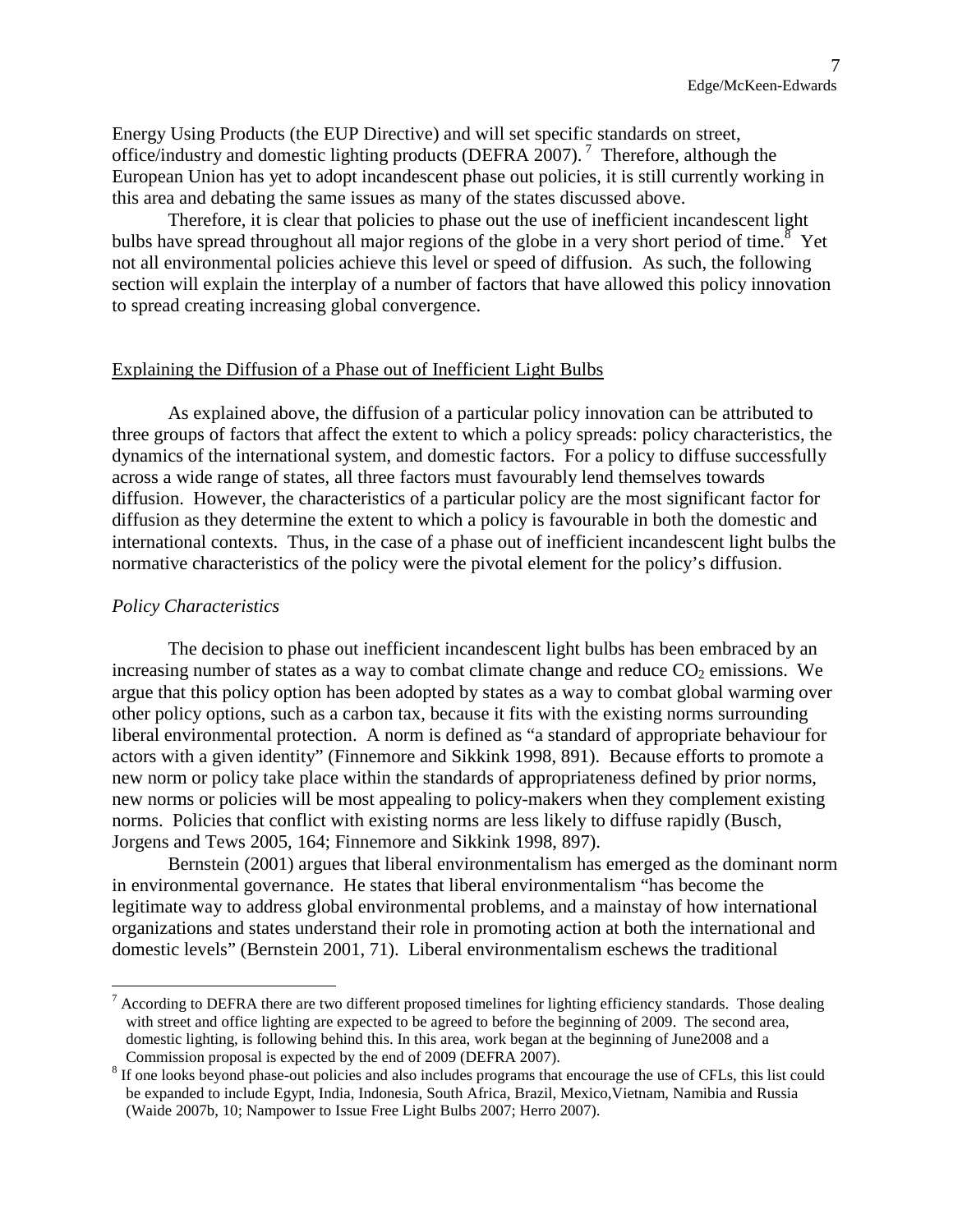Energy Using Products (the EUP Directive) and will set specific standards on street, office/industry and domestic lighting products (DEFRA 200[7](#page-7-0)).<sup>7</sup> Therefore, although the European Union has yet to adopt incandescent phase out policies, it is still currently working in this area and debating the same issues as many of the states discussed above.

Therefore, it is clear that policies to phase out the use of inefficient incandescent light bulbshave spread throughout all major regions of the globe in a very short period of time.<sup>8</sup> Yet not all environmental policies achieve this level or speed of diffusion. As such, the following section will explain the interplay of a number of factors that have allowed this policy innovation to spread creating increasing global convergence.

#### Explaining the Diffusion of a Phase out of Inefficient Light Bulbs

As explained above, the diffusion of a particular policy innovation can be attributed to three groups of factors that affect the extent to which a policy spreads: policy characteristics, the dynamics of the international system, and domestic factors. For a policy to diffuse successfully across a wide range of states, all three factors must favourably lend themselves towards diffusion. However, the characteristics of a particular policy are the most significant factor for diffusion as they determine the extent to which a policy is favourable in both the domestic and international contexts. Thus, in the case of a phase out of inefficient incandescent light bulbs the normative characteristics of the policy were the pivotal element for the policy's diffusion.

### *Policy Characteristics*

The decision to phase out inefficient incandescent light bulbs has been embraced by an increasing number of states as a way to combat climate change and reduce  $CO<sub>2</sub>$  emissions. We argue that this policy option has been adopted by states as a way to combat global warming over other policy options, such as a carbon tax, because it fits with the existing norms surrounding liberal environmental protection. A norm is defined as "a standard of appropriate behaviour for actors with a given identity" (Finnemore and Sikkink 1998, 891). Because efforts to promote a new norm or policy take place within the standards of appropriateness defined by prior norms, new norms or policies will be most appealing to policy-makers when they complement existing norms. Policies that conflict with existing norms are less likely to diffuse rapidly (Busch, Jorgens and Tews 2005, 164; Finnemore and Sikkink 1998, 897).

Bernstein (2001) argues that liberal environmentalism has emerged as the dominant norm in environmental governance. He states that liberal environmentalism "has become the legitimate way to address global environmental problems, and a mainstay of how international organizations and states understand their role in promoting action at both the international and domestic levels" (Bernstein 2001, 71). Liberal environmentalism eschews the traditional

<span id="page-7-0"></span> $<sup>7</sup>$  According to DEFRA there are two different proposed timelines for lighting efficiency standards. Those dealing</sup> with street and office lighting are expected to be agreed to before the beginning of 2009. The second area, domestic lighting, is following behind this. In this area, work began at the beginning of June2008 and a Commission proposal is expected by the end of 2009 (DEFRA 2007).

<span id="page-7-1"></span><sup>&</sup>lt;sup>8</sup> If one looks beyond phase-out policies and also includes programs that encourage the use of CFLs, this list could be expanded to include Egypt, India, Indonesia, South Africa, Brazil, Mexico,Vietnam, Namibia and Russia (Waide 2007b, 10; Nampower to Issue Free Light Bulbs 2007; Herro 2007).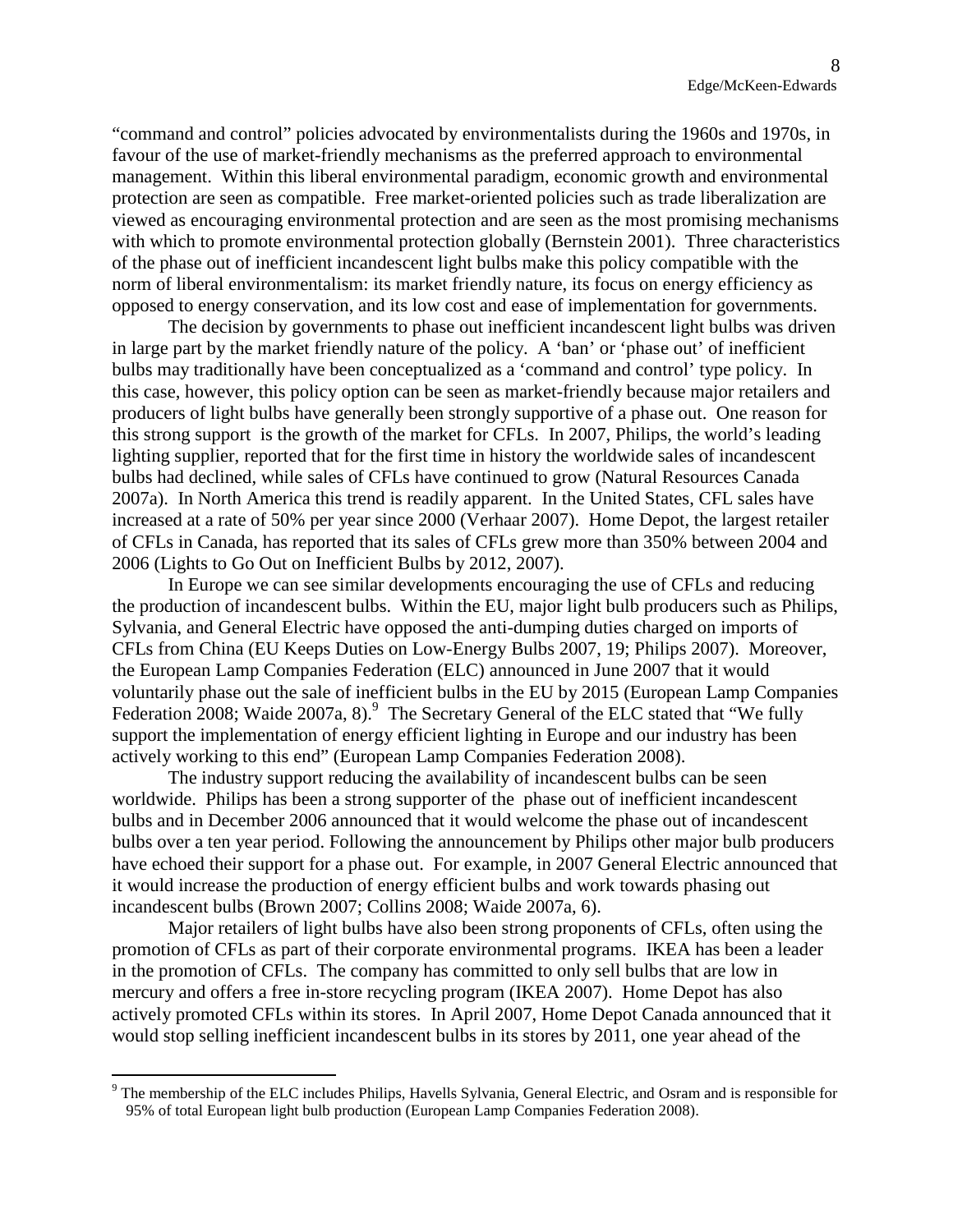"command and control" policies advocated by environmentalists during the 1960s and 1970s, in favour of the use of market-friendly mechanisms as the preferred approach to environmental management. Within this liberal environmental paradigm, economic growth and environmental protection are seen as compatible. Free market-oriented policies such as trade liberalization are viewed as encouraging environmental protection and are seen as the most promising mechanisms with which to promote environmental protection globally (Bernstein 2001). Three characteristics of the phase out of inefficient incandescent light bulbs make this policy compatible with the norm of liberal environmentalism: its market friendly nature, its focus on energy efficiency as opposed to energy conservation, and its low cost and ease of implementation for governments.

The decision by governments to phase out inefficient incandescent light bulbs was driven in large part by the market friendly nature of the policy. A 'ban' or 'phase out' of inefficient bulbs may traditionally have been conceptualized as a 'command and control' type policy. In this case, however, this policy option can be seen as market-friendly because major retailers and producers of light bulbs have generally been strongly supportive of a phase out. One reason for this strong support is the growth of the market for CFLs. In 2007, Philips, the world's leading lighting supplier, reported that for the first time in history the worldwide sales of incandescent bulbs had declined, while sales of CFLs have continued to grow (Natural Resources Canada 2007a). In North America this trend is readily apparent. In the United States, CFL sales have increased at a rate of 50% per year since 2000 (Verhaar 2007). Home Depot, the largest retailer of CFLs in Canada, has reported that its sales of CFLs grew more than 350% between 2004 and 2006 (Lights to Go Out on Inefficient Bulbs by 2012, 2007).

In Europe we can see similar developments encouraging the use of CFLs and reducing the production of incandescent bulbs. Within the EU, major light bulb producers such as Philips, Sylvania, and General Electric have opposed the anti-dumping duties charged on imports of CFLs from China (EU Keeps Duties on Low-Energy Bulbs 2007, 19; Philips 2007). Moreover, the European Lamp Companies Federation (ELC) announced in June 2007 that it would voluntarily phase out the sale of inefficient bulbs in the EU by 2015 (European Lamp Companies Federation2008; Waide 2007a, 8)[.](#page-8-0) <sup>9</sup> The Secretary General of the ELC stated that "We fully support the implementation of energy efficient lighting in Europe and our industry has been actively working to this end" (European Lamp Companies Federation 2008).

The industry support reducing the availability of incandescent bulbs can be seen worldwide. Philips has been a strong supporter of the phase out of inefficient incandescent bulbs and in December 2006 announced that it would welcome the phase out of incandescent bulbs over a ten year period. Following the announcement by Philips other major bulb producers have echoed their support for a phase out. For example, in 2007 General Electric announced that it would increase the production of energy efficient bulbs and work towards phasing out incandescent bulbs (Brown 2007; Collins 2008; Waide 2007a, 6).

Major retailers of light bulbs have also been strong proponents of CFLs, often using the promotion of CFLs as part of their corporate environmental programs. IKEA has been a leader in the promotion of CFLs. The company has committed to only sell bulbs that are low in mercury and offers a free in-store recycling program (IKEA 2007). Home Depot has also actively promoted CFLs within its stores. In April 2007, Home Depot Canada announced that it would stop selling inefficient incandescent bulbs in its stores by 2011, one year ahead of the

<span id="page-8-0"></span><sup>&</sup>lt;sup>9</sup> The membership of the ELC includes Philips, Havells Sylvania, General Electric, and Osram and is responsible for 95% of total European light bulb production (European Lamp Companies Federation 2008).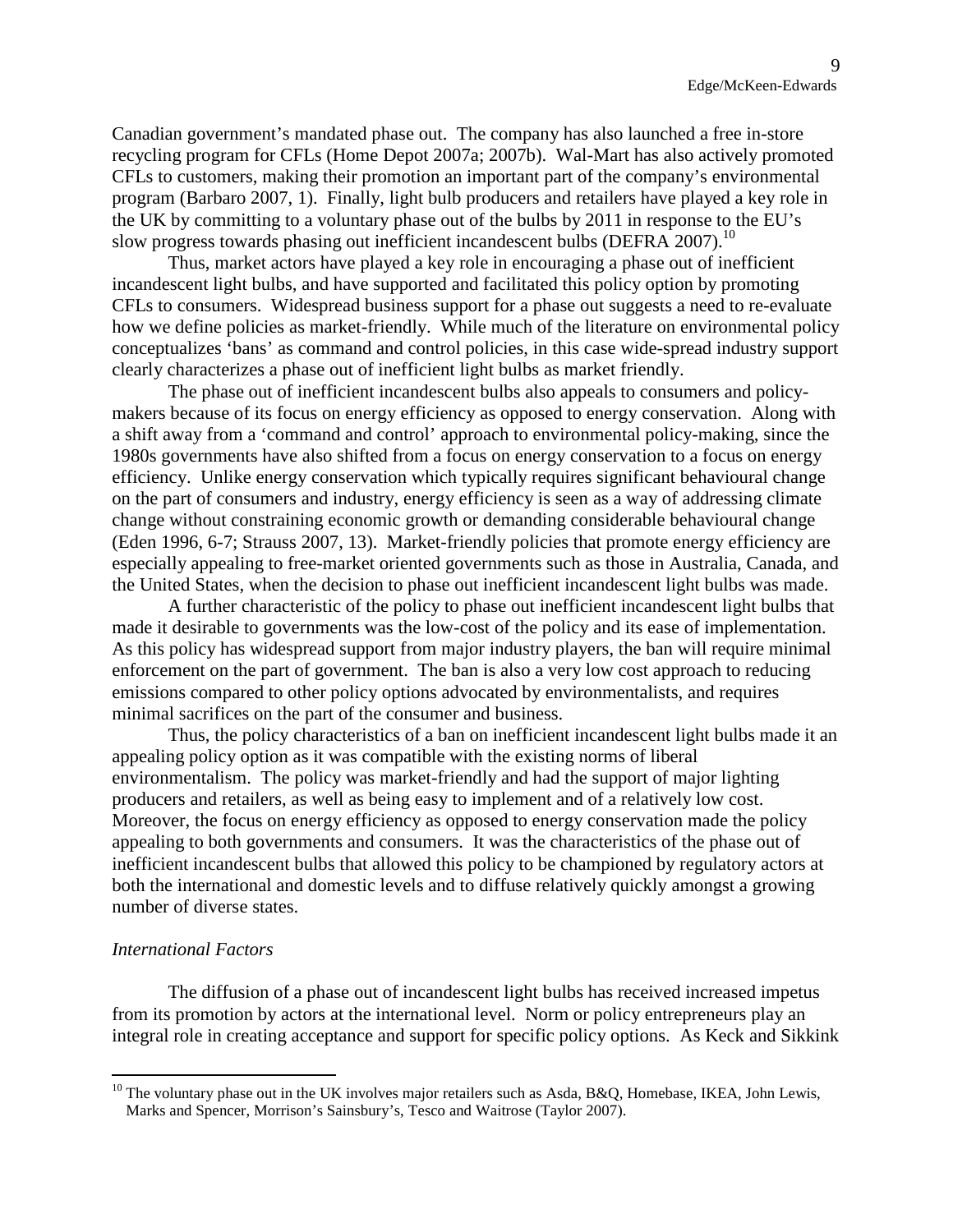Canadian government's mandated phase out. The company has also launched a free in-store recycling program for CFLs (Home Depot 2007a; 2007b). Wal-Mart has also actively promoted CFLs to customers, making their promotion an important part of the company's environmental program (Barbaro 2007, 1). Finally, light bulb producers and retailers have played a key role in the UK by committing to a voluntary phase out of the bulbs by 2011 in response to the EU's slow progress towards phasing out inefficient incandescent bulbs (DEFRA 2007).<sup>[10](#page-9-0)</sup>

Thus, market actors have played a key role in encouraging a phase out of inefficient incandescent light bulbs, and have supported and facilitated this policy option by promoting CFLs to consumers. Widespread business support for a phase out suggests a need to re-evaluate how we define policies as market-friendly. While much of the literature on environmental policy conceptualizes 'bans' as command and control policies, in this case wide-spread industry support clearly characterizes a phase out of inefficient light bulbs as market friendly.

The phase out of inefficient incandescent bulbs also appeals to consumers and policymakers because of its focus on energy efficiency as opposed to energy conservation. Along with a shift away from a 'command and control' approach to environmental policy-making, since the 1980s governments have also shifted from a focus on energy conservation to a focus on energy efficiency. Unlike energy conservation which typically requires significant behavioural change on the part of consumers and industry, energy efficiency is seen as a way of addressing climate change without constraining economic growth or demanding considerable behavioural change (Eden 1996, 6-7; Strauss 2007, 13). Market-friendly policies that promote energy efficiency are especially appealing to free-market oriented governments such as those in Australia, Canada, and the United States, when the decision to phase out inefficient incandescent light bulbs was made.

A further characteristic of the policy to phase out inefficient incandescent light bulbs that made it desirable to governments was the low-cost of the policy and its ease of implementation. As this policy has widespread support from major industry players, the ban will require minimal enforcement on the part of government. The ban is also a very low cost approach to reducing emissions compared to other policy options advocated by environmentalists, and requires minimal sacrifices on the part of the consumer and business.

Thus, the policy characteristics of a ban on inefficient incandescent light bulbs made it an appealing policy option as it was compatible with the existing norms of liberal environmentalism. The policy was market-friendly and had the support of major lighting producers and retailers, as well as being easy to implement and of a relatively low cost. Moreover, the focus on energy efficiency as opposed to energy conservation made the policy appealing to both governments and consumers. It was the characteristics of the phase out of inefficient incandescent bulbs that allowed this policy to be championed by regulatory actors at both the international and domestic levels and to diffuse relatively quickly amongst a growing number of diverse states.

#### *International Factors*

The diffusion of a phase out of incandescent light bulbs has received increased impetus from its promotion by actors at the international level. Norm or policy entrepreneurs play an integral role in creating acceptance and support for specific policy options. As Keck and Sikkink

<span id="page-9-0"></span><sup>&</sup>lt;sup>10</sup> The voluntary phase out in the UK involves major retailers such as Asda, B&Q, Homebase, IKEA, John Lewis, Marks and Spencer, Morrison's Sainsbury's, Tesco and Waitrose (Taylor 2007).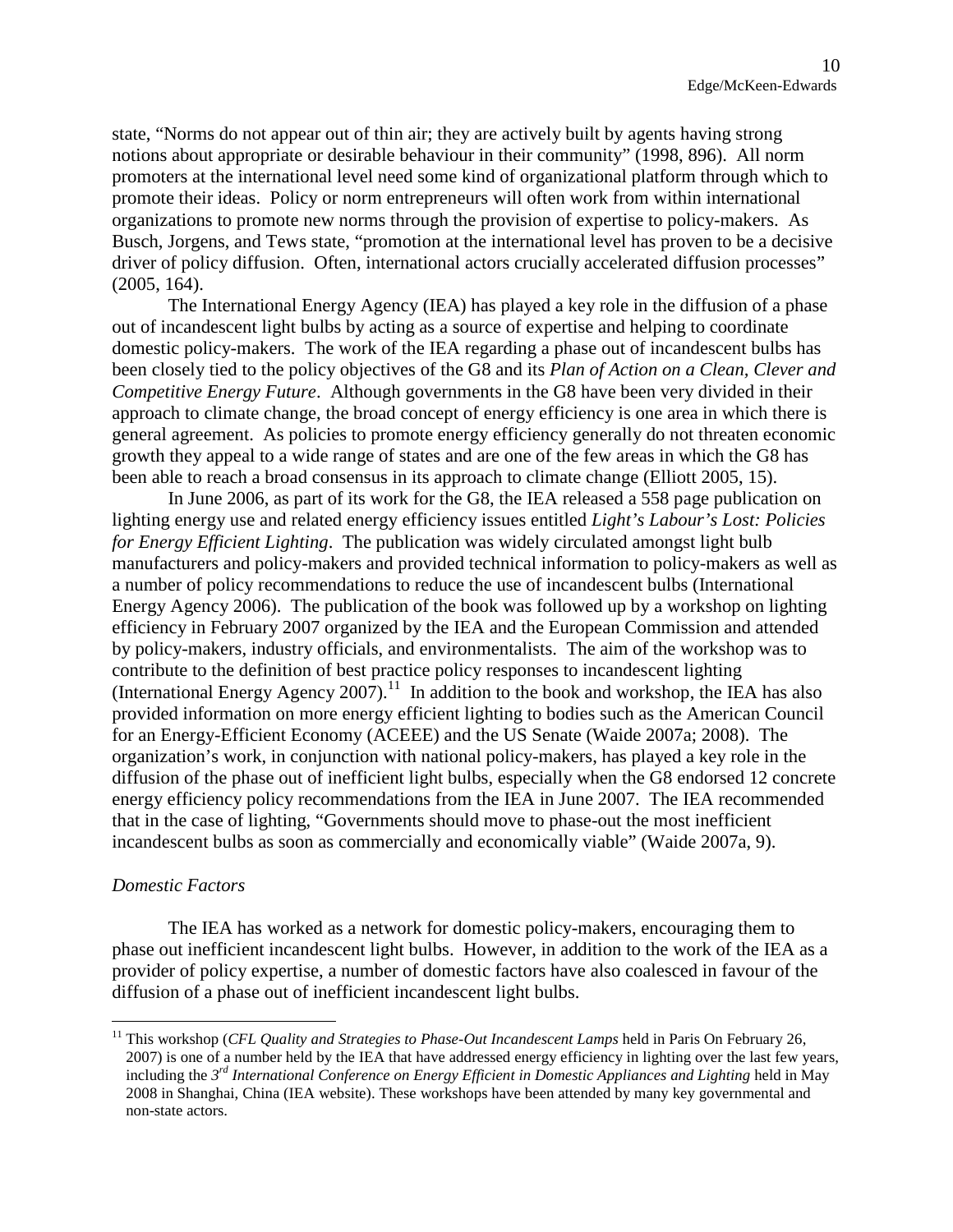state, "Norms do not appear out of thin air; they are actively built by agents having strong notions about appropriate or desirable behaviour in their community" (1998, 896). All norm promoters at the international level need some kind of organizational platform through which to promote their ideas. Policy or norm entrepreneurs will often work from within international organizations to promote new norms through the provision of expertise to policy-makers. As Busch, Jorgens, and Tews state, "promotion at the international level has proven to be a decisive driver of policy diffusion. Often, international actors crucially accelerated diffusion processes" (2005, 164).

The International Energy Agency (IEA) has played a key role in the diffusion of a phase out of incandescent light bulbs by acting as a source of expertise and helping to coordinate domestic policy-makers. The work of the IEA regarding a phase out of incandescent bulbs has been closely tied to the policy objectives of the G8 and its *Plan of Action on a Clean, Clever and Competitive Energy Future*. Although governments in the G8 have been very divided in their approach to climate change, the broad concept of energy efficiency is one area in which there is general agreement. As policies to promote energy efficiency generally do not threaten economic growth they appeal to a wide range of states and are one of the few areas in which the G8 has been able to reach a broad consensus in its approach to climate change (Elliott 2005, 15).

In June 2006, as part of its work for the G8, the IEA released a 558 page publication on lighting energy use and related energy efficiency issues entitled *Light's Labour's Lost: Policies for Energy Efficient Lighting*. The publication was widely circulated amongst light bulb manufacturers and policy-makers and provided technical information to policy-makers as well as a number of policy recommendations to reduce the use of incandescent bulbs (International Energy Agency 2006). The publication of the book was followed up by a workshop on lighting efficiency in February 2007 organized by the IEA and the European Commission and attended by policy-makers, industry officials, and environmentalists. The aim of the workshop was to contribute to the definition of best practice policy responses to incandescent lighting (International Energy Agency 2007).<sup>[11](#page-10-0)</sup> In addition to the book and workshop, the IEA has also provided information on more energy efficient lighting to bodies such as the American Council for an Energy-Efficient Economy (ACEEE) and the US Senate (Waide 2007a; 2008). The organization's work, in conjunction with national policy-makers, has played a key role in the diffusion of the phase out of inefficient light bulbs, especially when the G8 endorsed 12 concrete energy efficiency policy recommendations from the IEA in June 2007. The IEA recommended that in the case of lighting, "Governments should move to phase-out the most inefficient incandescent bulbs as soon as commercially and economically viable" (Waide 2007a, 9).

#### *Domestic Factors*

The IEA has worked as a network for domestic policy-makers, encouraging them to phase out inefficient incandescent light bulbs. However, in addition to the work of the IEA as a provider of policy expertise, a number of domestic factors have also coalesced in favour of the diffusion of a phase out of inefficient incandescent light bulbs.

<span id="page-10-0"></span><sup>&</sup>lt;sup>11</sup> This workshop (*CFL Quality and Strategies to Phase-Out Incandescent Lamps* held in Paris On February 26, 2007) is one of a number held by the IEA that have addressed energy efficiency in lighting over the last few years, including the *3 rd International Conference on Energy Efficient in Domestic Appliances and Lighting* held in May 2008 in Shanghai, China (IEA website). These workshops have been attended by many key governmental and non-state actors.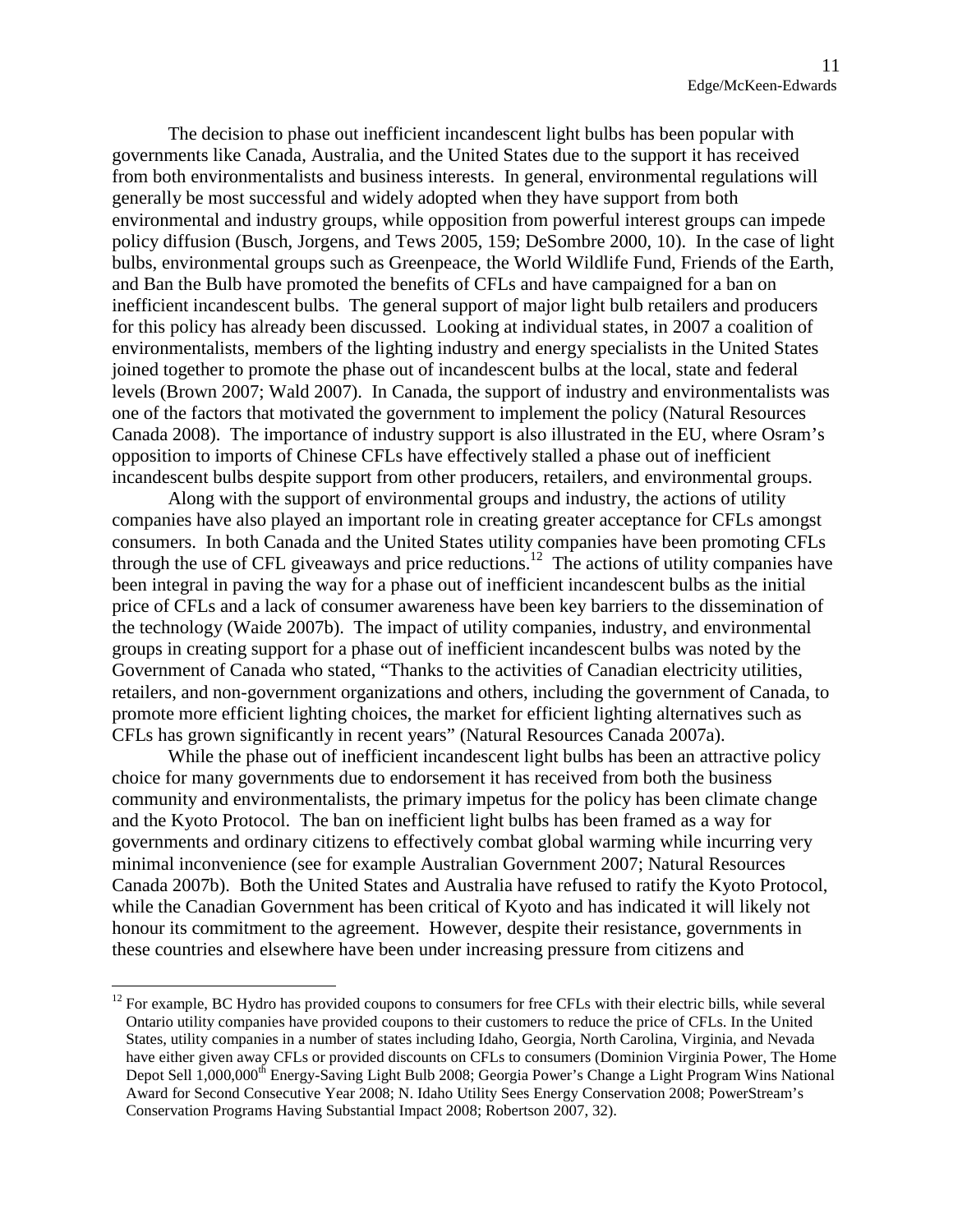The decision to phase out inefficient incandescent light bulbs has been popular with governments like Canada, Australia, and the United States due to the support it has received from both environmentalists and business interests. In general, environmental regulations will generally be most successful and widely adopted when they have support from both environmental and industry groups, while opposition from powerful interest groups can impede policy diffusion (Busch, Jorgens, and Tews 2005, 159; DeSombre 2000, 10). In the case of light bulbs, environmental groups such as Greenpeace, the World Wildlife Fund, Friends of the Earth, and Ban the Bulb have promoted the benefits of CFLs and have campaigned for a ban on inefficient incandescent bulbs. The general support of major light bulb retailers and producers for this policy has already been discussed. Looking at individual states, in 2007 a coalition of environmentalists, members of the lighting industry and energy specialists in the United States joined together to promote the phase out of incandescent bulbs at the local, state and federal levels (Brown 2007; Wald 2007). In Canada, the support of industry and environmentalists was one of the factors that motivated the government to implement the policy (Natural Resources Canada 2008). The importance of industry support is also illustrated in the EU, where Osram's opposition to imports of Chinese CFLs have effectively stalled a phase out of inefficient incandescent bulbs despite support from other producers, retailers, and environmental groups.

Along with the support of environmental groups and industry, the actions of utility companies have also played an important role in creating greater acceptance for CFLs amongst consumers. In both Canada and the United States utility companies have been promoting CFLs through the use of CFL giveaways and price reductions.<sup>[12](#page-11-0)</sup> The actions of utility companies have been integral in paving the way for a phase out of inefficient incandescent bulbs as the initial price of CFLs and a lack of consumer awareness have been key barriers to the dissemination of the technology (Waide 2007b). The impact of utility companies, industry, and environmental groups in creating support for a phase out of inefficient incandescent bulbs was noted by the Government of Canada who stated, "Thanks to the activities of Canadian electricity utilities, retailers, and non-government organizations and others, including the government of Canada, to promote more efficient lighting choices, the market for efficient lighting alternatives such as CFLs has grown significantly in recent years" (Natural Resources Canada 2007a).

While the phase out of inefficient incandescent light bulbs has been an attractive policy choice for many governments due to endorsement it has received from both the business community and environmentalists, the primary impetus for the policy has been climate change and the Kyoto Protocol. The ban on inefficient light bulbs has been framed as a way for governments and ordinary citizens to effectively combat global warming while incurring very minimal inconvenience (see for example Australian Government 2007; Natural Resources Canada 2007b). Both the United States and Australia have refused to ratify the Kyoto Protocol, while the Canadian Government has been critical of Kyoto and has indicated it will likely not honour its commitment to the agreement. However, despite their resistance, governments in these countries and elsewhere have been under increasing pressure from citizens and

<span id="page-11-0"></span> $12$  For example, BC Hydro has provided coupons to consumers for free CFLs with their electric bills, while several Ontario utility companies have provided coupons to their customers to reduce the price of CFLs. In the United States, utility companies in a number of states including Idaho, Georgia, North Carolina, Virginia, and Nevada have either given away CFLs or provided discounts on CFLs to consumers (Dominion Virginia Power, The Home Depot Sell 1,000,000<sup>th</sup> Energy-Saving Light Bulb 2008; Georgia Power's Change a Light Program Wins National Award for Second Consecutive Year 2008; N. Idaho Utility Sees Energy Conservation 2008; PowerStream's Conservation Programs Having Substantial Impact 2008; Robertson 2007, 32).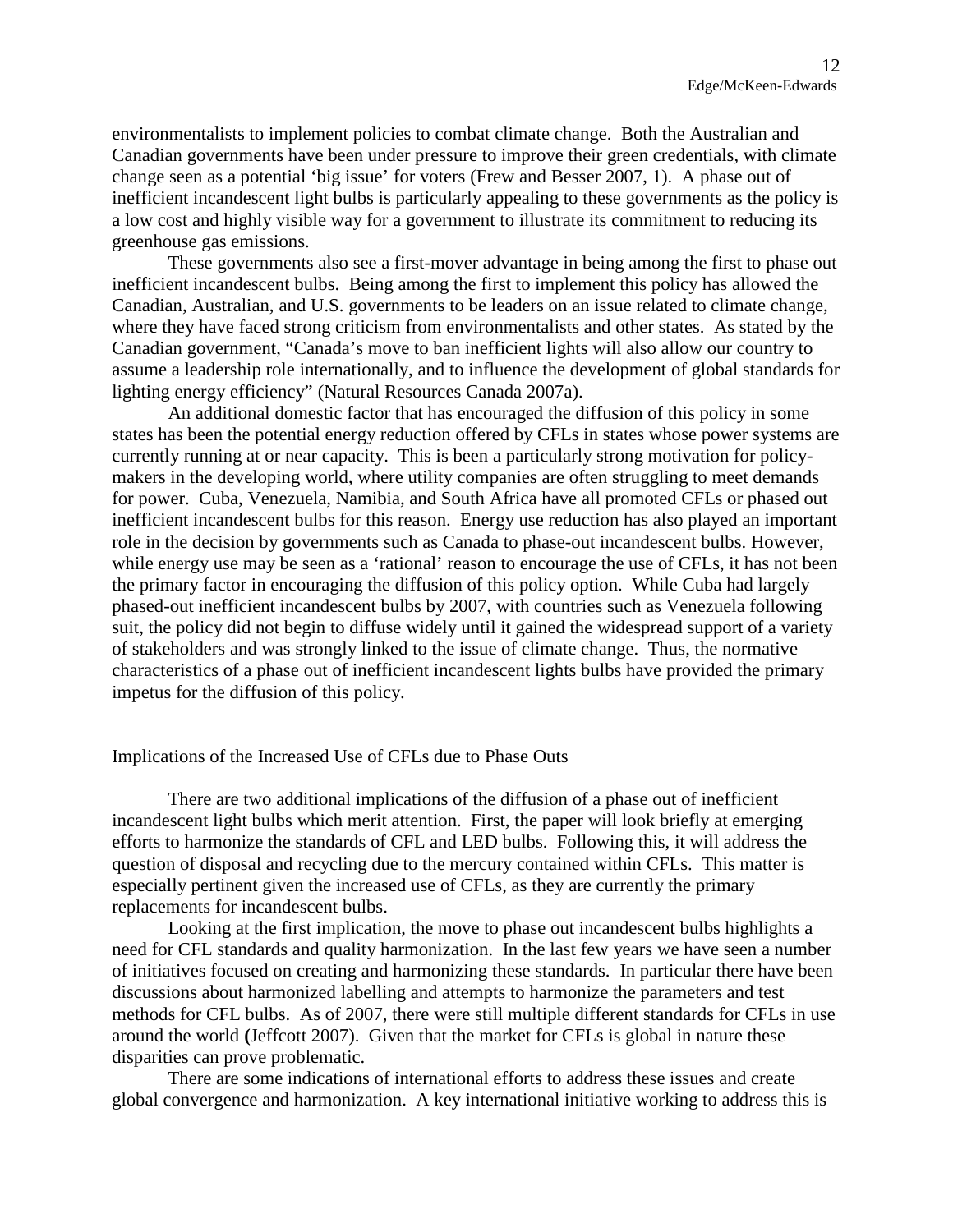environmentalists to implement policies to combat climate change. Both the Australian and Canadian governments have been under pressure to improve their green credentials, with climate change seen as a potential 'big issue' for voters (Frew and Besser 2007, 1). A phase out of inefficient incandescent light bulbs is particularly appealing to these governments as the policy is a low cost and highly visible way for a government to illustrate its commitment to reducing its greenhouse gas emissions.

These governments also see a first-mover advantage in being among the first to phase out inefficient incandescent bulbs. Being among the first to implement this policy has allowed the Canadian, Australian, and U.S. governments to be leaders on an issue related to climate change, where they have faced strong criticism from environmentalists and other states. As stated by the Canadian government, "Canada's move to ban inefficient lights will also allow our country to assume a leadership role internationally, and to influence the development of global standards for lighting energy efficiency" (Natural Resources Canada 2007a).

An additional domestic factor that has encouraged the diffusion of this policy in some states has been the potential energy reduction offered by CFLs in states whose power systems are currently running at or near capacity. This is been a particularly strong motivation for policymakers in the developing world, where utility companies are often struggling to meet demands for power. Cuba, Venezuela, Namibia, and South Africa have all promoted CFLs or phased out inefficient incandescent bulbs for this reason. Energy use reduction has also played an important role in the decision by governments such as Canada to phase-out incandescent bulbs. However, while energy use may be seen as a 'rational' reason to encourage the use of CFLs, it has not been the primary factor in encouraging the diffusion of this policy option. While Cuba had largely phased-out inefficient incandescent bulbs by 2007, with countries such as Venezuela following suit, the policy did not begin to diffuse widely until it gained the widespread support of a variety of stakeholders and was strongly linked to the issue of climate change. Thus, the normative characteristics of a phase out of inefficient incandescent lights bulbs have provided the primary impetus for the diffusion of this policy.

#### Implications of the Increased Use of CFLs due to Phase Outs

There are two additional implications of the diffusion of a phase out of inefficient incandescent light bulbs which merit attention. First, the paper will look briefly at emerging efforts to harmonize the standards of CFL and LED bulbs. Following this, it will address the question of disposal and recycling due to the mercury contained within CFLs. This matter is especially pertinent given the increased use of CFLs, as they are currently the primary replacements for incandescent bulbs.

Looking at the first implication, the move to phase out incandescent bulbs highlights a need for CFL standards and quality harmonization. In the last few years we have seen a number of initiatives focused on creating and harmonizing these standards. In particular there have been discussions about harmonized labelling and attempts to harmonize the parameters and test methods for CFL bulbs. As of 2007, there were still multiple different standards for CFLs in use around the world **(**Jeffcott 2007). Given that the market for CFLs is global in nature these disparities can prove problematic.

There are some indications of international efforts to address these issues and create global convergence and harmonization. A key international initiative working to address this is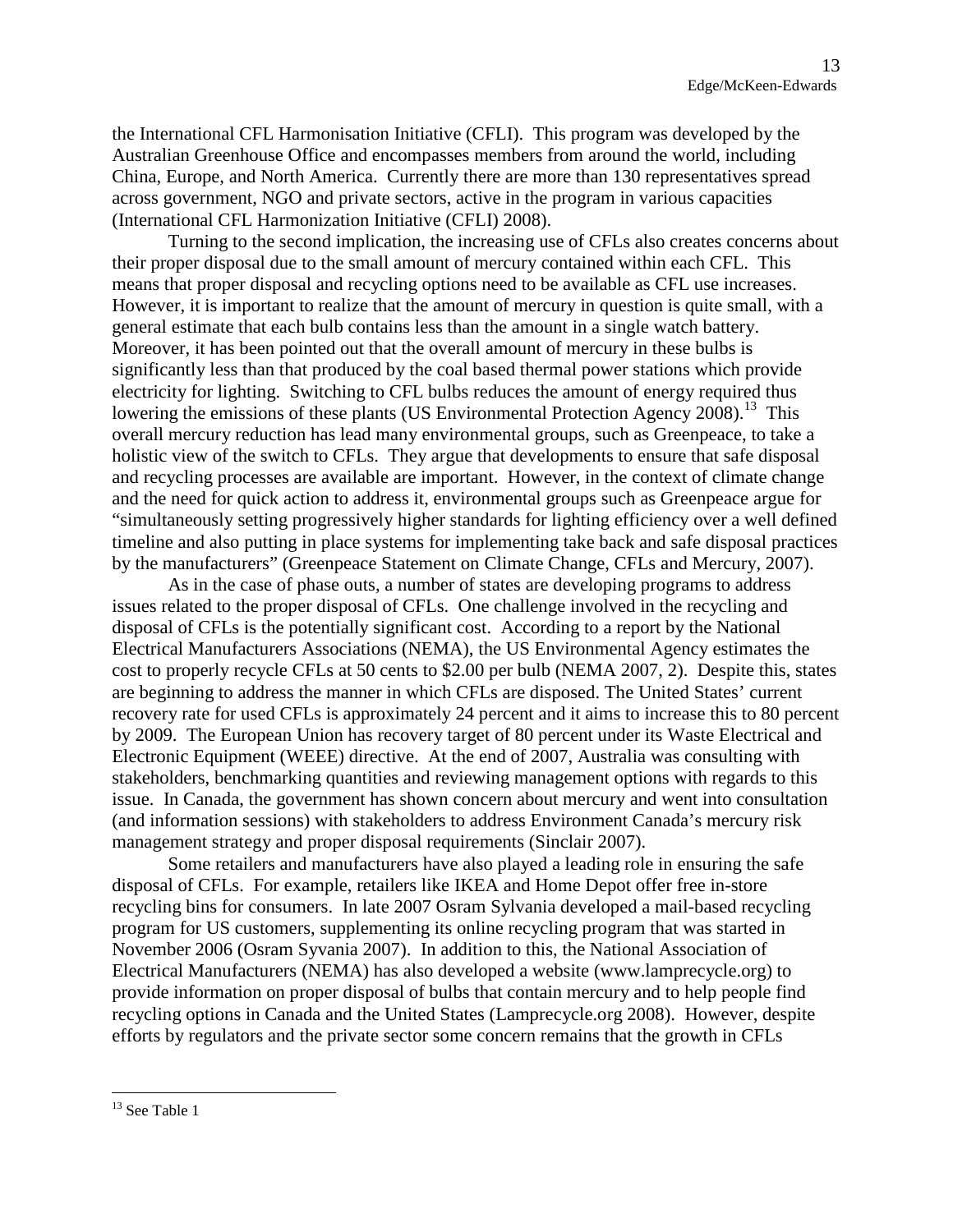the International CFL Harmonisation Initiative (CFLI). This program was developed by the Australian Greenhouse Office and encompasses members from around the world, including China, Europe, and North America. Currently there are more than 130 representatives spread across government, NGO and private sectors, active in the program in various capacities (International CFL Harmonization Initiative (CFLI) 2008).

Turning to the second implication, the increasing use of CFLs also creates concerns about their proper disposal due to the small amount of mercury contained within each CFL. This means that proper disposal and recycling options need to be available as CFL use increases. However, it is important to realize that the amount of mercury in question is quite small, with a general estimate that each bulb contains less than the amount in a single watch battery. Moreover, it has been pointed out that the overall amount of mercury in these bulbs is significantly less than that produced by the coal based thermal power stations which provide electricity for lighting. Switching to CFL bulbs reduces the amount of energy required thus lowering the emissions of these plants (US Environmental Protection Agency 2008).<sup>[13](#page-13-0)</sup> This overall mercury reduction has lead many environmental groups, such as Greenpeace, to take a holistic view of the switch to CFLs. They argue that developments to ensure that safe disposal and recycling processes are available are important. However, in the context of climate change and the need for quick action to address it, environmental groups such as Greenpeace argue for "simultaneously setting progressively higher standards for lighting efficiency over a well defined timeline and also putting in place systems for implementing take back and safe disposal practices by the manufacturers" (Greenpeace Statement on Climate Change, CFLs and Mercury, 2007).

As in the case of phase outs, a number of states are developing programs to address issues related to the proper disposal of CFLs. One challenge involved in the recycling and disposal of CFLs is the potentially significant cost. According to a report by the National Electrical Manufacturers Associations (NEMA), the US Environmental Agency estimates the cost to properly recycle CFLs at 50 cents to \$2.00 per bulb (NEMA 2007, 2). Despite this, states are beginning to address the manner in which CFLs are disposed. The United States' current recovery rate for used CFLs is approximately 24 percent and it aims to increase this to 80 percent by 2009. The European Union has recovery target of 80 percent under its Waste Electrical and Electronic Equipment (WEEE) directive. At the end of 2007, Australia was consulting with stakeholders, benchmarking quantities and reviewing management options with regards to this issue. In Canada, the government has shown concern about mercury and went into consultation (and information sessions) with stakeholders to address Environment Canada's mercury risk management strategy and proper disposal requirements (Sinclair 2007).

Some retailers and manufacturers have also played a leading role in ensuring the safe disposal of CFLs. For example, retailers like IKEA and Home Depot offer free in-store recycling bins for consumers. In late 2007 Osram Sylvania developed a mail-based recycling program for US customers, supplementing its online recycling program that was started in November 2006 (Osram Syvania 2007). In addition to this, the National Association of Electrical Manufacturers (NEMA) has also developed a website([www.lamprecycle.org](http://www.lamprecycle.org/)) to provide information on proper disposal of bulbs that contain mercury and to help people find recycling options in Canada and the United States (Lamprecycle.org 2008). However, despite efforts by regulators and the private sector some concern remains that the growth in CFLs

<span id="page-13-0"></span><sup>&</sup>lt;sup>13</sup> See Table 1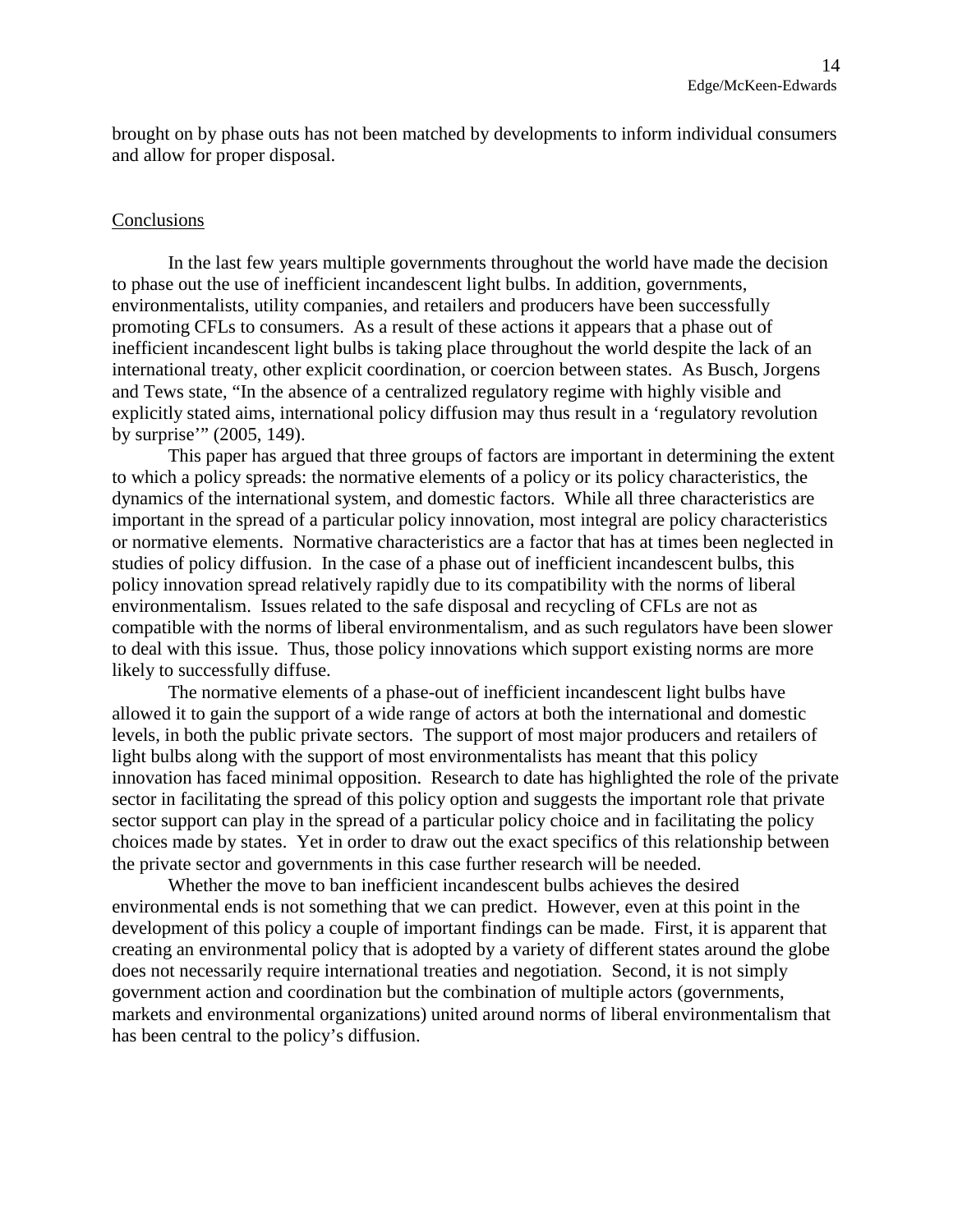brought on by phase outs has not been matched by developments to inform individual consumers and allow for proper disposal.

#### Conclusions

In the last few years multiple governments throughout the world have made the decision to phase out the use of inefficient incandescent light bulbs. In addition, governments, environmentalists, utility companies, and retailers and producers have been successfully promoting CFLs to consumers. As a result of these actions it appears that a phase out of inefficient incandescent light bulbs is taking place throughout the world despite the lack of an international treaty, other explicit coordination, or coercion between states. As Busch, Jorgens and Tews state, "In the absence of a centralized regulatory regime with highly visible and explicitly stated aims, international policy diffusion may thus result in a 'regulatory revolution by surprise'" (2005, 149).

This paper has argued that three groups of factors are important in determining the extent to which a policy spreads: the normative elements of a policy or its policy characteristics, the dynamics of the international system, and domestic factors. While all three characteristics are important in the spread of a particular policy innovation, most integral are policy characteristics or normative elements. Normative characteristics are a factor that has at times been neglected in studies of policy diffusion. In the case of a phase out of inefficient incandescent bulbs, this policy innovation spread relatively rapidly due to its compatibility with the norms of liberal environmentalism. Issues related to the safe disposal and recycling of CFLs are not as compatible with the norms of liberal environmentalism, and as such regulators have been slower to deal with this issue. Thus, those policy innovations which support existing norms are more likely to successfully diffuse.

The normative elements of a phase-out of inefficient incandescent light bulbs have allowed it to gain the support of a wide range of actors at both the international and domestic levels, in both the public private sectors. The support of most major producers and retailers of light bulbs along with the support of most environmentalists has meant that this policy innovation has faced minimal opposition. Research to date has highlighted the role of the private sector in facilitating the spread of this policy option and suggests the important role that private sector support can play in the spread of a particular policy choice and in facilitating the policy choices made by states. Yet in order to draw out the exact specifics of this relationship between the private sector and governments in this case further research will be needed.

Whether the move to ban inefficient incandescent bulbs achieves the desired environmental ends is not something that we can predict. However, even at this point in the development of this policy a couple of important findings can be made. First, it is apparent that creating an environmental policy that is adopted by a variety of different states around the globe does not necessarily require international treaties and negotiation. Second, it is not simply government action and coordination but the combination of multiple actors (governments, markets and environmental organizations) united around norms of liberal environmentalism that has been central to the policy's diffusion.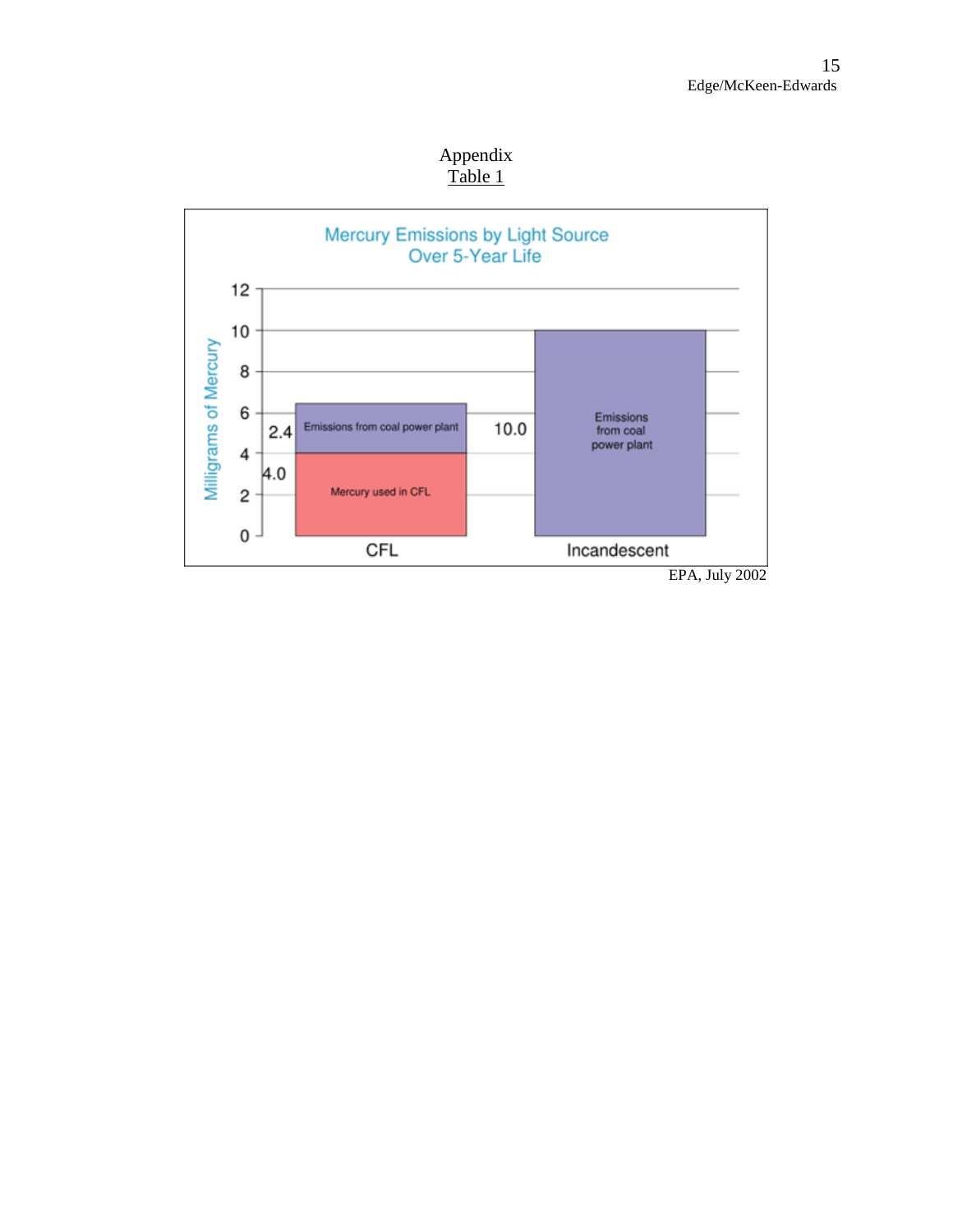Appendix Table 1

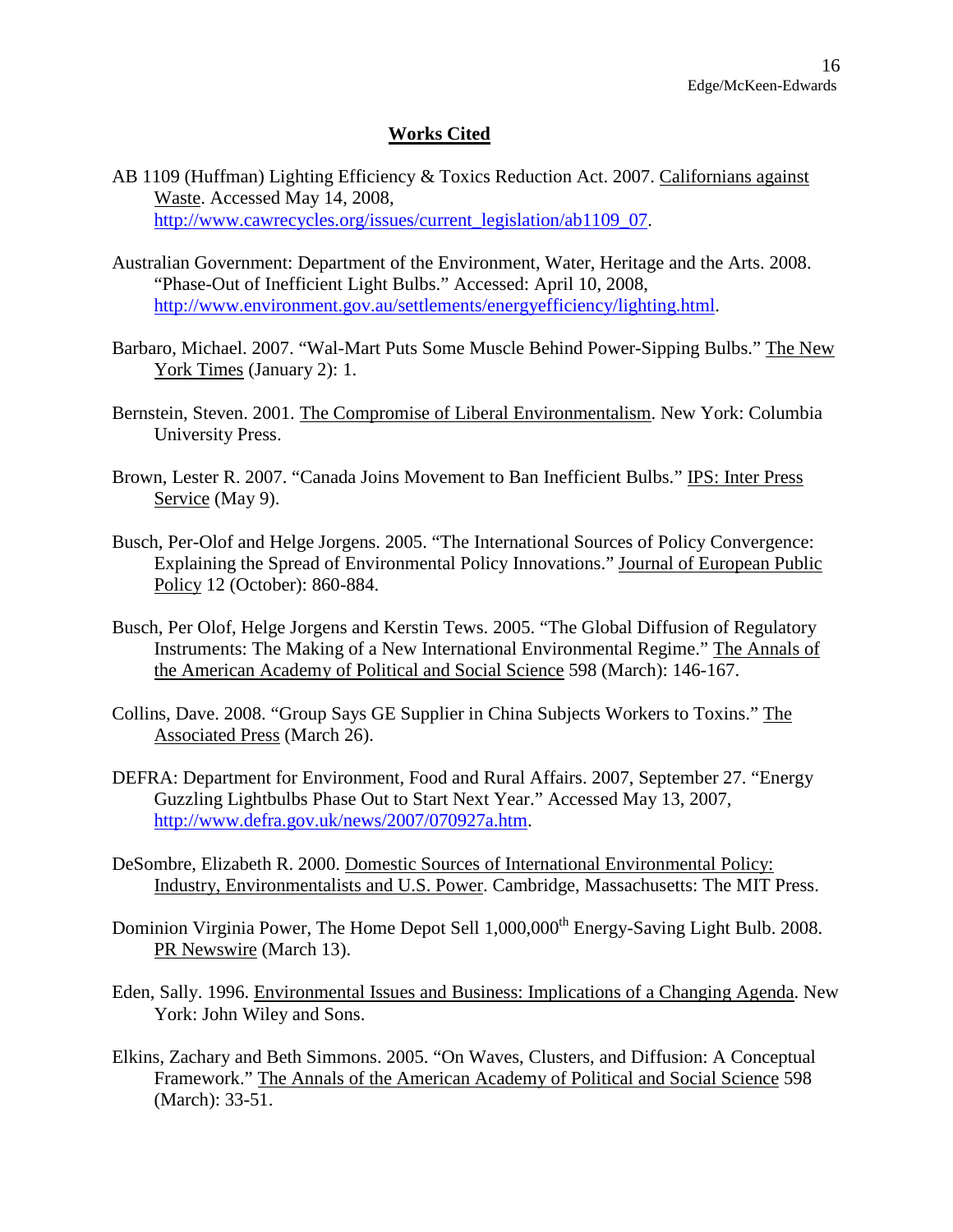## **Works Cited**

- AB 1109 (Huffman) Lighting Efficiency & Toxics Reduction Act. 2007. Californians against Waste. Accessed May 14, 2008, [http://www.cawrecycles.org/issues/current\\_legislation/ab1109\\_07](http://www.cawrecycles.org/issues/current_legislation/ab1109_07).
- Australian Government: Department of the Environment, Water, Heritage and the Arts. 2008. "Phase-Out of Inefficient Light Bulbs." Accessed: April 10, 2008, [http://www.environment.gov.au/settlements/energyefficiency/lighting.html.](http://www.environment.gov.au/settlements/energyefficiency/lighting.html)
- Barbaro, Michael. 2007. "Wal-Mart Puts Some Muscle Behind Power-Sipping Bulbs." The New York Times (January 2): 1.
- Bernstein, Steven. 2001. The Compromise of Liberal Environmentalism. New York: Columbia University Press.
- Brown, Lester R. 2007. "Canada Joins Movement to Ban Inefficient Bulbs." IPS: Inter Press Service (May 9).
- Busch, Per-Olof and Helge Jorgens. 2005. "The International Sources of Policy Convergence: Explaining the Spread of Environmental Policy Innovations." Journal of European Public Policy 12 (October): 860-884.
- Busch, Per Olof, Helge Jorgens and Kerstin Tews. 2005. "The Global Diffusion of Regulatory Instruments: The Making of a New International Environmental Regime." The Annals of the American Academy of Political and Social Science 598 (March): 146-167.
- Collins, Dave. 2008. "Group Says GE Supplier in China Subjects Workers to Toxins." The Associated Press (March 26).
- DEFRA: Department for Environment, Food and Rural Affairs. 2007, September 27. "Energy Guzzling Lightbulbs Phase Out to Start Next Year." Accessed May 13, 2007, <http://www.defra.gov.uk/news/2007/070927a.htm>.
- DeSombre, Elizabeth R. 2000. Domestic Sources of International Environmental Policy: Industry, Environmentalists and U.S. Power. Cambridge, Massachusetts: The MIT Press.
- Dominion Virginia Power, The Home Depot Sell 1,000,000<sup>th</sup> Energy-Saving Light Bulb. 2008. PR Newswire (March 13).
- Eden, Sally. 1996. Environmental Issues and Business: Implications of a Changing Agenda. New York: John Wiley and Sons.
- Elkins, Zachary and Beth Simmons. 2005. "On Waves, Clusters, and Diffusion: A Conceptual Framework." The Annals of the American Academy of Political and Social Science 598 (March): 33-51.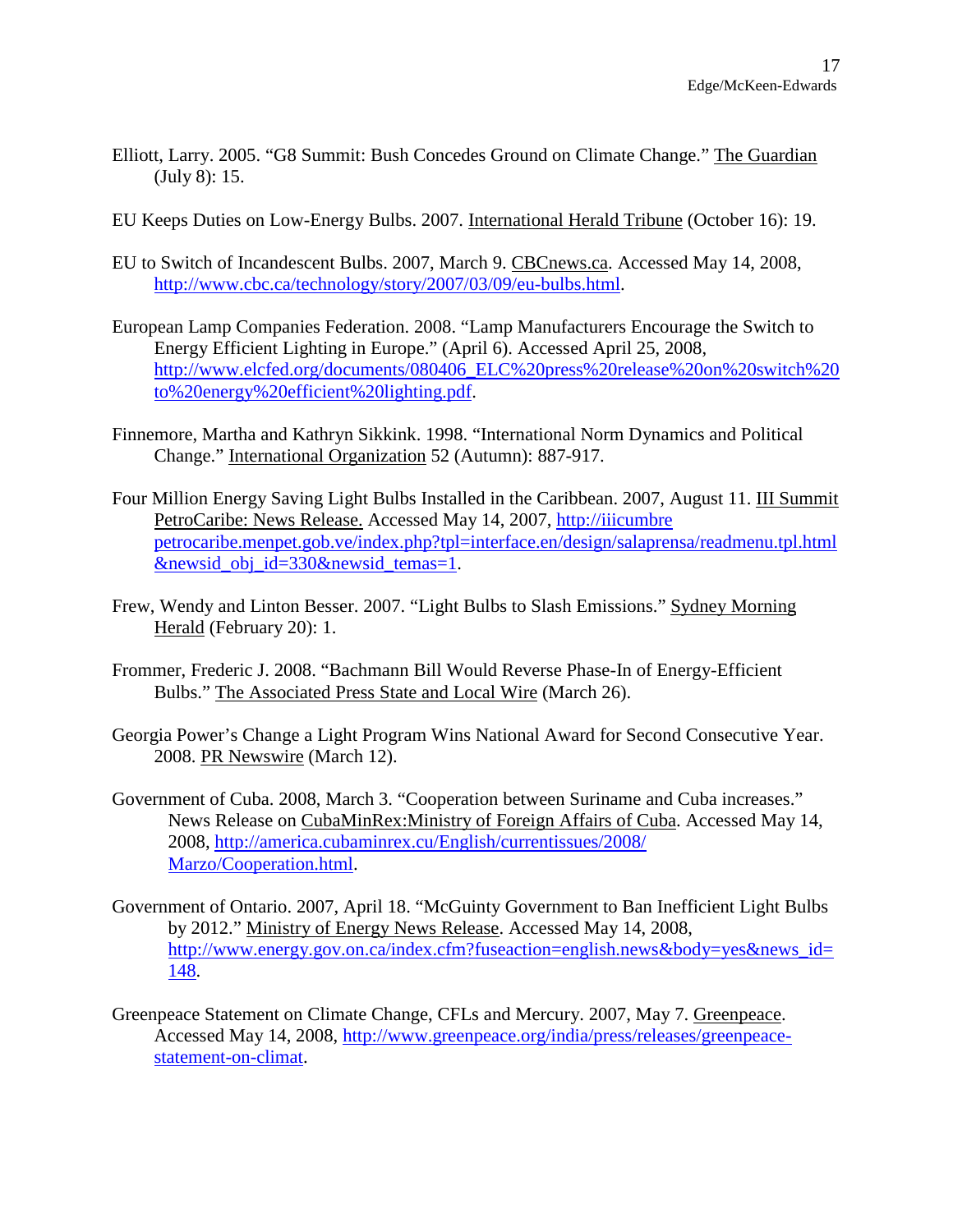- Elliott, Larry. 2005. "G8 Summit: Bush Concedes Ground on Climate Change." The Guardian (July 8): 15.
- EU Keeps Duties on Low-Energy Bulbs. 2007. International Herald Tribune (October 16): 19.
- EU to Switch of Incandescent Bulbs. 2007, March 9. CBCnews.ca. Accessed May 14, 2008, [http://www.cbc.ca/technology/story/2007/03/09/eu-bulbs.html.](http://www.cbc.ca/technology/story/2007/03/09/eu-bulbs.html)
- European Lamp Companies Federation. 2008. "Lamp Manufacturers Encourage the Switch to Energy Efficient Lighting in Europe." (April 6). Accessed April 25, 2008, [http://www.elcfed.org/documents/080406\\_ELC%20press%20release%20on%20switch%20](http://www.elcfed.org/documents/080406_ELC press release on switch to energy efficient lighting.pdf) [to%20energy%20efficient%20lighting.pdf](http://www.elcfed.org/documents/080406_ELC press release on switch to energy efficient lighting.pdf).
- Finnemore, Martha and Kathryn Sikkink. 1998. "International Norm Dynamics and Political Change." International Organization 52 (Autumn): 887-917.
- Four Million Energy Saving Light Bulbs Installed in the Caribbean. 2007, August 11. III Summit PetroCaribe: News Release. Accessed May 14, 2007, [http://iiicumbre](http://iiicumbre petrocaribe.menpet.gob.ve/index.php?tpl=interface.en/design/salaprensa/readmenu.tpl.html&newsid_obj_id=330&newsid_temas=1) [petrocaribe.menpet.gob.ve/index.php?tpl=interface.en/design/salaprensa/readmenu.tpl.html](http://iiicumbre petrocaribe.menpet.gob.ve/index.php?tpl=interface.en/design/salaprensa/readmenu.tpl.html&newsid_obj_id=330&newsid_temas=1) [&newsid\\_obj\\_id=330&newsid\\_temas=1.](http://iiicumbre petrocaribe.menpet.gob.ve/index.php?tpl=interface.en/design/salaprensa/readmenu.tpl.html&newsid_obj_id=330&newsid_temas=1)
- Frew, Wendy and Linton Besser. 2007. "Light Bulbs to Slash Emissions." Sydney Morning Herald (February 20): 1.
- Frommer, Frederic J. 2008. "Bachmann Bill Would Reverse Phase-In of Energy-Efficient Bulbs." The Associated Press State and Local Wire (March 26).
- Georgia Power's Change a Light Program Wins National Award for Second Consecutive Year. 2008. PR Newswire (March 12).
- Government of Cuba. 2008, March 3. "Cooperation between Suriname and Cuba increases." News Release on CubaMinRex:Ministry of Foreign Affairs of Cuba. Accessed May 14, 2008, [http://america.cubaminrex.cu/English/currentissues/2008/](http://america.cubaminrex.cu/English/currentissues/2008/ Marzo/Cooperation.html) [Marzo/Cooperation.html](http://america.cubaminrex.cu/English/currentissues/2008/ Marzo/Cooperation.html).
- Government of Ontario. 2007, April 18. "McGuinty Government to Ban Inefficient Light Bulbs by 2012." Ministry of Energy News Release. Accessed May 14, 2008, [http://www.energy.gov.on.ca/index.cfm?fuseaction=english.news&body=yes&news\\_id=](http://www.energy.gov.on.ca/index.cfm?fuseaction=english.news&body=yes&news_id=148) [148](http://www.energy.gov.on.ca/index.cfm?fuseaction=english.news&body=yes&news_id=148).
- Greenpeace Statement on Climate Change, CFLs and Mercury. 2007, May 7. Greenpeace. Accessed May 14, 2008, [http://www.greenpeace.org/india/press/releases/greenpeace](http://www.greenpeace.org/india/press/releases/greenpeace-statement-on-climat)[statement-on-climat.](http://www.greenpeace.org/india/press/releases/greenpeace-statement-on-climat)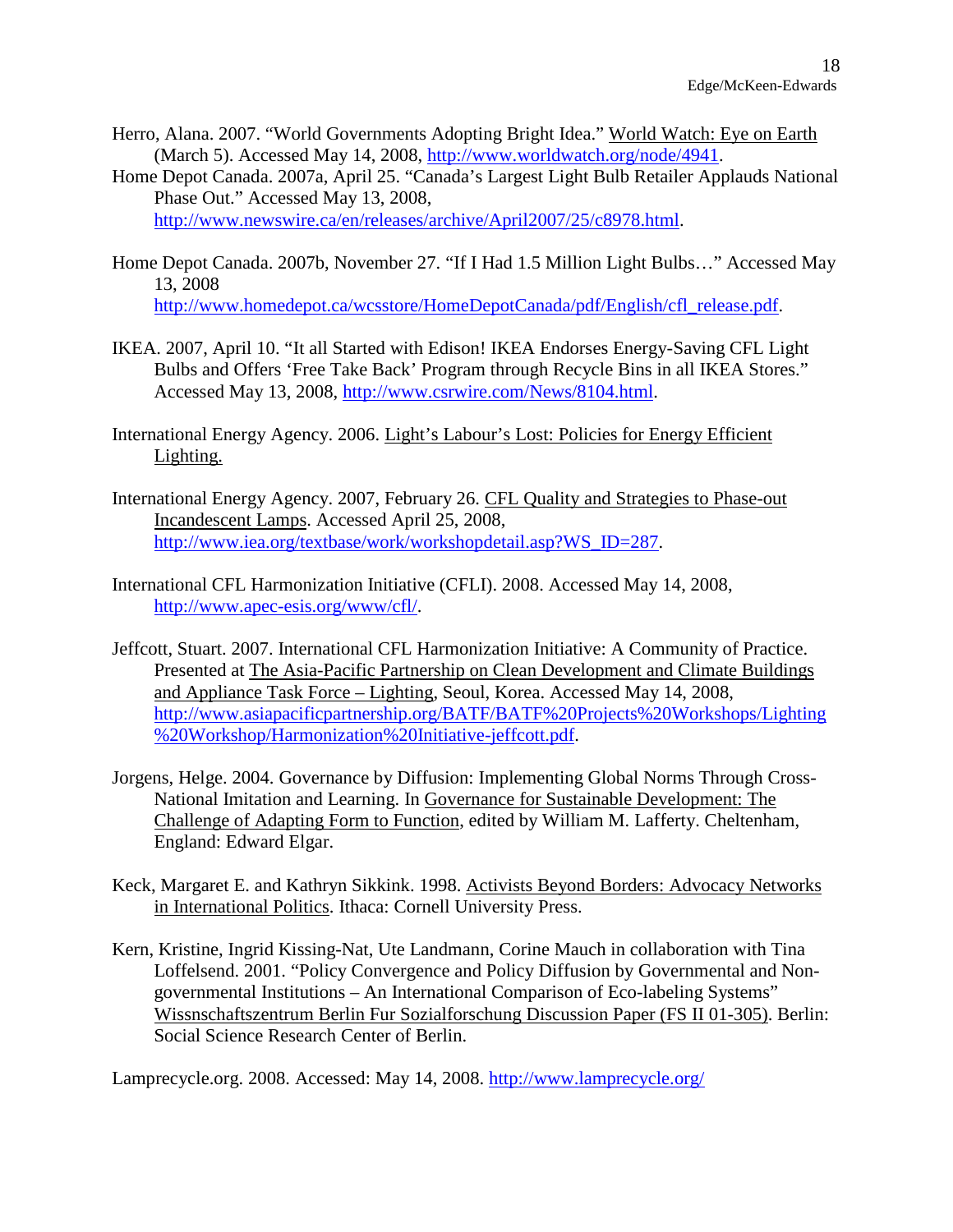- Herro, Alana. 2007. "World Governments Adopting Bright Idea." World Watch: Eye on Earth (March 5). Accessed May 14, 2008, <http://www.worldwatch.org/node/4941>.
- Home Depot Canada. 2007a, April 25. "Canada's Largest Light Bulb Retailer Applauds National Phase Out." Accessed May 13, 2008, [http://www.newswire.ca/en/releases/archive/April2007/25/c8978.html.](http://www.newswire.ca/en/releases/archive/April2007/25/c8978.html)
- Home Depot Canada. 2007b, November 27. "If I Had 1.5 Million Light Bulbs…" Accessed May 13, 2008 [http://www.homedepot.ca/wcsstore/HomeDepotCanada/pdf/English/cfl\\_release.pdf](http://www.homedepot.ca/wcsstore/HomeDepotCanada/pdf/English/cfl_release.pdf).
- IKEA. 2007, April 10. "It all Started with Edison! IKEA Endorses Energy-Saving CFL Light Bulbs and Offers 'Free Take Back' Program through Recycle Bins in all IKEA Stores." Accessed May 13, 2008, <http://www.csrwire.com/News/8104.html>.
- International Energy Agency. 2006. Light's Labour's Lost: Policies for Energy Efficient Lighting.
- International Energy Agency. 2007, February 26. CFL Quality and Strategies to Phase-out Incandescent Lamps. Accessed April 25, 2008, [http://www.iea.org/textbase/work/workshopdetail.asp?WS\\_ID=287](http://www.iea.org/textbase/work/workshopdetail.asp?WS_ID=287).
- International CFL Harmonization Initiative (CFLI). 2008. Accessed May 14, 2008, <http://www.apec-esis.org/www/cfl/>.
- Jeffcott, Stuart. 2007. International CFL Harmonization Initiative: A Community of Practice. Presented at The Asia-Pacific Partnership on Clean Development and Climate Buildings and Appliance Task Force – Lighting, Seoul, Korea. Accessed May 14, 2008, [http://www.asiapacificpartnership.org/BATF/BATF%20Projects%20Workshops/Lighting](http://www.asiapacificpartnership.org/BATF/BATF Projects Workshops/Lighting Workshop/Harmonization Initiative-jeffcott.pdf) [%20Workshop/Harmonization%20Initiative-jeffcott.pdf](http://www.asiapacificpartnership.org/BATF/BATF Projects Workshops/Lighting Workshop/Harmonization Initiative-jeffcott.pdf).
- Jorgens, Helge. 2004. Governance by Diffusion: Implementing Global Norms Through Cross-National Imitation and Learning. In Governance for Sustainable Development: The Challenge of Adapting Form to Function, edited by William M. Lafferty. Cheltenham, England: Edward Elgar.
- Keck, Margaret E. and Kathryn Sikkink. 1998. Activists Beyond Borders: Advocacy Networks in International Politics. Ithaca: Cornell University Press.
- Kern, Kristine, Ingrid Kissing-Nat, Ute Landmann, Corine Mauch in collaboration with Tina Loffelsend. 2001. "Policy Convergence and Policy Diffusion by Governmental and Nongovernmental Institutions – An International Comparison of Eco-labeling Systems" Wissnschaftszentrum Berlin Fur Sozialforschung Discussion Paper (FS II 01-305). Berlin: Social Science Research Center of Berlin.

Lamprecycle.org. 2008. Accessed: May 14, 2008. <http://www.lamprecycle.org/>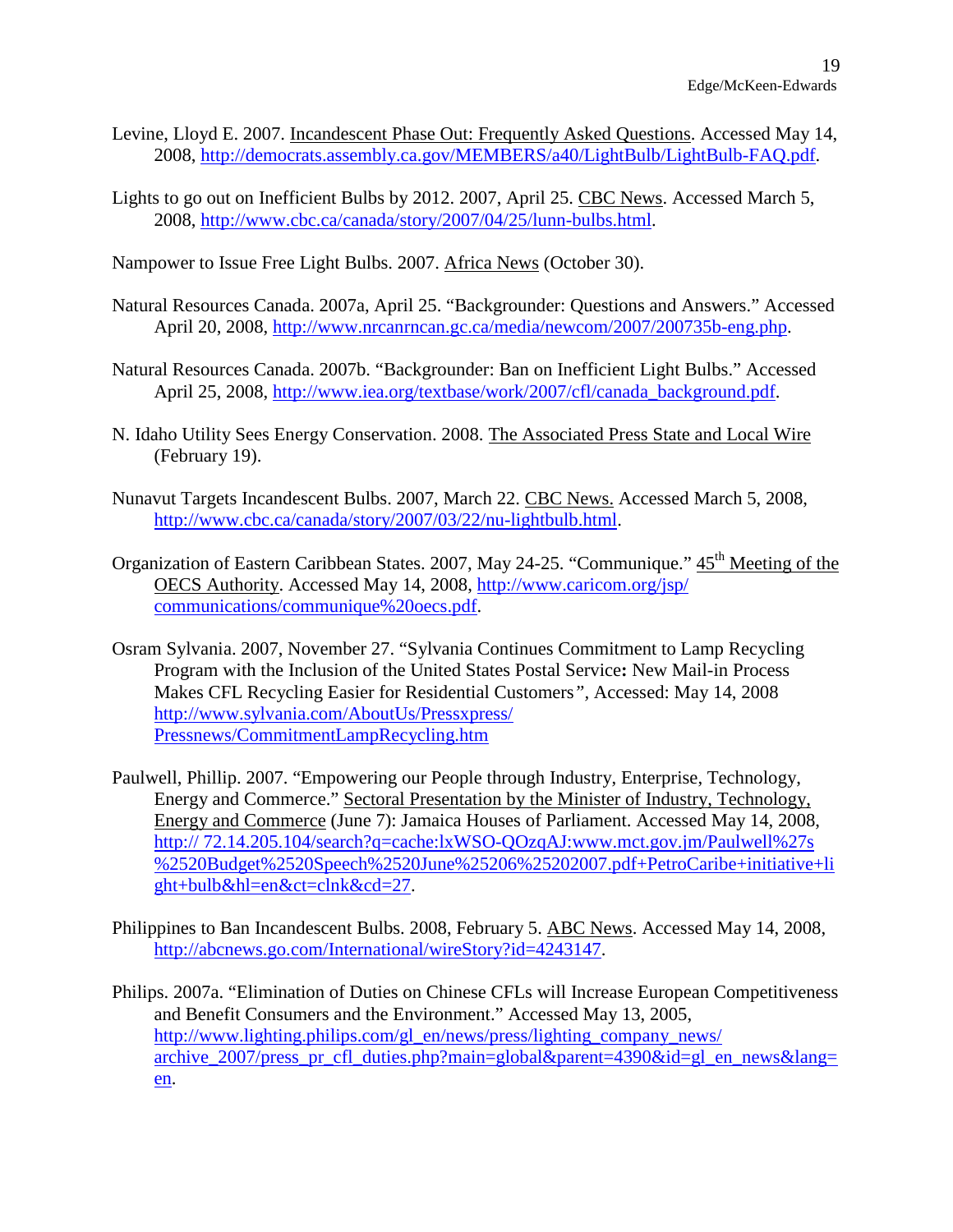- Levine, Lloyd E. 2007. Incandescent Phase Out: Frequently Asked Questions. Accessed May 14, 2008, <http://democrats.assembly.ca.gov/MEMBERS/a40/LightBulb/LightBulb-FAQ.pdf>.
- Lights to go out on Inefficient Bulbs by 2012. 2007, April 25. CBC News. Accessed March 5, 2008, [http://www.cbc.ca/canada/story/2007/04/25/lunn-bulbs.html.](http://www.cbc.ca/canada/story/2007/04/25/lunn-bulbs.html)

Nampower to Issue Free Light Bulbs. 2007. Africa News (October 30).

- Natural Resources Canada. 2007a, April 25. "Backgrounder: Questions and Answers." Accessed April 20, 2008, [http://www.nrcanrncan.gc.ca/media/newcom/2007/200735b-eng.php.](http://www.nrcanrncan.gc.ca/media/newcom/2007/200735b-eng.php)
- Natural Resources Canada. 2007b. "Backgrounder: Ban on Inefficient Light Bulbs." Accessed April 25, 2008, [http://www.iea.org/textbase/work/2007/cfl/canada\\_background.pdf](http://www.iea.org/textbase/work/2007/cfl/canada_background.pdf).
- N. Idaho Utility Sees Energy Conservation. 2008. The Associated Press State and Local Wire (February 19).
- Nunavut Targets Incandescent Bulbs. 2007, March 22. CBC News. Accessed March 5, 2008, [http://www.cbc.ca/canada/story/2007/03/22/nu-lightbulb.html.](http://www.cbc.ca/canada/story/2007/03/22/nu-lightbulb.html)
- Organization of Eastern Caribbean States. 2007, May 24-25. "Communique." 45<sup>th</sup> Meeting of the OECS Authority. Accessed May 14, 2008, [http://www.caricom.org/jsp/](http://www.caricom.org/jsp/ communications/communique oecs.pdf) [communications/communique%20oecs.pdf.](http://www.caricom.org/jsp/ communications/communique oecs.pdf)
- Osram Sylvania. 2007, November 27. "Sylvania Continues Commitment to Lamp Recycling Program with the Inclusion of the United States Postal Service**:** New Mail-in Process Makes CFL Recycling Easier for Residential Customers*",* Accessed: May 14, 2008 [http://www.sylvania.com/AboutUs/Pressxpress/](http://www.sylvania.com/AboutUs/Pressxpress/ Pressnews/Commitment) [Pressnews/CommitmentL](http://www.sylvania.com/AboutUs/Pressxpress/ Pressnews/Commitment)ampRecycling.htm
- Paulwell, Phillip. 2007. "Empowering our People through Industry, Enterprise, Technology, Energy and Commerce." Sectoral Presentation by the Minister of Industry, Technology, Energy and Commerce (June 7): Jamaica Houses of Parliament. Accessed May 14, 2008, http:// 72.14.205.104/search?q=cache:lxWSO-QOzqAJ:www.mct.gov.jm/Paulwell%27s %2520Budget%2520Speech%2520June%25206%25202007.pdf+PetroCaribe+initiative+li ght+bulb&hl=en&ct=clnk&cd=27.
- Philippines to Ban Incandescent Bulbs. 2008, February 5. ABC News. Accessed May 14, 2008, <http://abcnews.go.com/International/wireStory?id=4243147>.
- Philips. 2007a. "Elimination of Duties on Chinese CFLs will Increase European Competitiveness and Benefit Consumers and the Environment." Accessed May 13, 2005, [http://www.lighting.philips.com/gl\\_en/news/press/lighting\\_company\\_news/](http://www.lighting.philips.com/gl_en/news/press/lighting_company_news/ archive_2007/press_pr_cfl_duties.php?main=global&parent=4390&id=gl_en_news&lang=en) archive 2007/press\_pr\_cfl\_duties.php?main=global&parent=4390&id=gl\_en\_news&lang= [en](http://www.lighting.philips.com/gl_en/news/press/lighting_company_news/ archive_2007/press_pr_cfl_duties.php?main=global&parent=4390&id=gl_en_news&lang=en).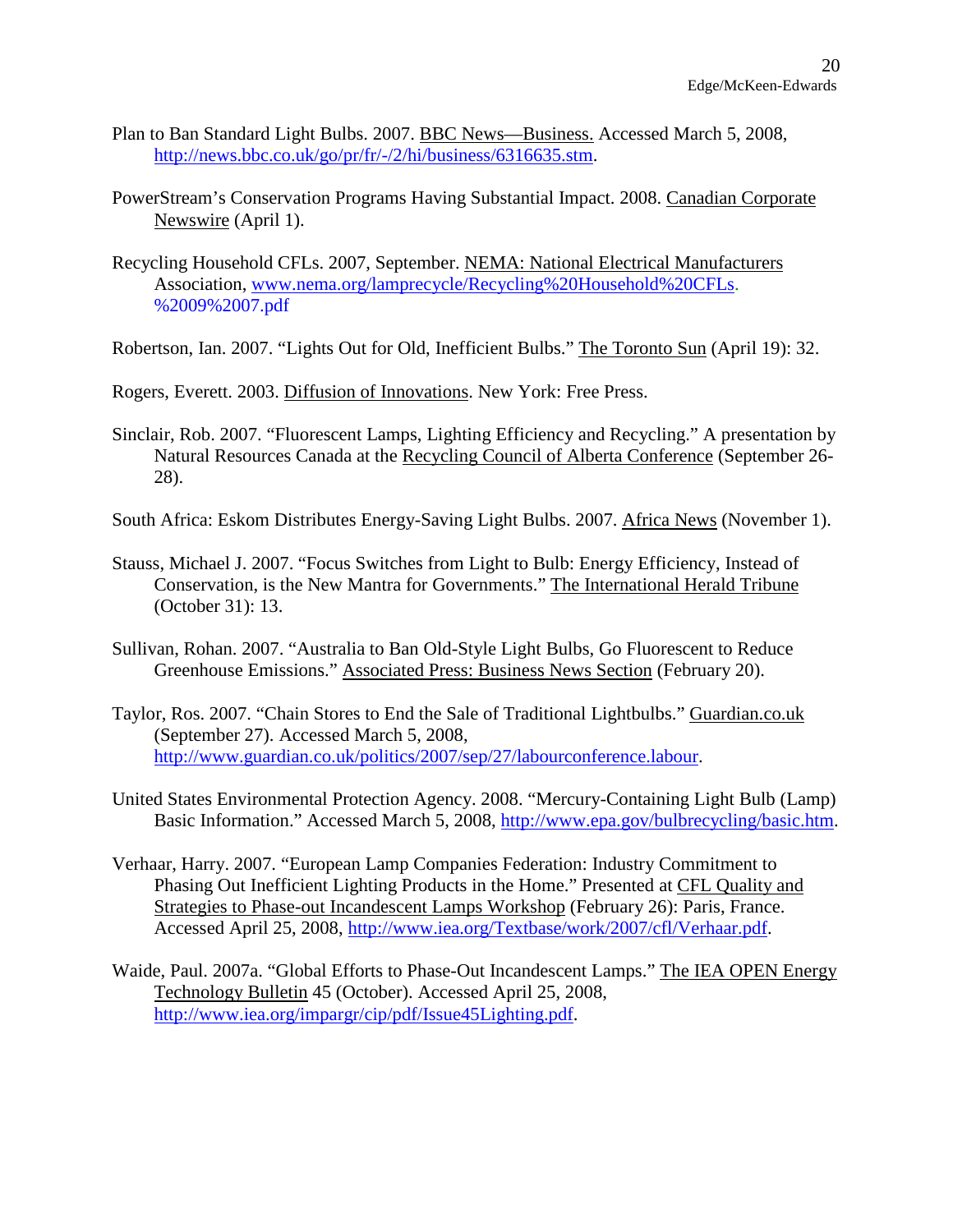- Plan to Ban Standard Light Bulbs. 2007. BBC News—Business. Accessed March 5, 2008, <http://news.bbc.co.uk/go/pr/fr/-/2/hi/business/6316635.stm>.
- PowerStream's Conservation Programs Having Substantial Impact. 2008. Canadian Corporate Newswire (April 1).
- Recycling Household CFLs. 2007, September. NEMA: National Electrical Manufacturers Association, [www.nema.org/lamprecycle/Recycling%20Household%20CFLs](http://www.nema.org/lamprecycle/Recycling Household CFLs). %2009%2007.pdf
- Robertson, Ian. 2007. "Lights Out for Old, Inefficient Bulbs." The Toronto Sun (April 19): 32.

Rogers, Everett. 2003. Diffusion of Innovations. New York: Free Press.

- Sinclair, Rob. 2007. "Fluorescent Lamps, Lighting Efficiency and Recycling." A presentation by Natural Resources Canada at the Recycling Council of Alberta Conference (September 26- 28).
- South Africa: Eskom Distributes Energy-Saving Light Bulbs. 2007. Africa News (November 1).
- Stauss, Michael J. 2007. "Focus Switches from Light to Bulb: Energy Efficiency, Instead of Conservation, is the New Mantra for Governments." The International Herald Tribune (October 31): 13.
- Sullivan, Rohan. 2007. "Australia to Ban Old-Style Light Bulbs, Go Fluorescent to Reduce Greenhouse Emissions." Associated Press: Business News Section (February 20).
- Taylor, Ros. 2007. "Chain Stores to End the Sale of Traditional Lightbulbs." Guardian.co.uk (September 27). Accessed March 5, 2008, [http://www.guardian.co.uk/politics/2007/sep/27/labourconference.labour.](http://www.guardian.co.uk/politics/2007/sep/27/labourconference.labour)
- United States Environmental Protection Agency. 2008. "Mercury-Containing Light Bulb (Lamp) Basic Information." Accessed March 5, 2008, <http://www.epa.gov/bulbrecycling/basic.htm>.
- Verhaar, Harry. 2007. "European Lamp Companies Federation: Industry Commitment to Phasing Out Inefficient Lighting Products in the Home." Presented at CFL Quality and Strategies to Phase-out Incandescent Lamps Workshop (February 26): Paris, France. Accessed April 25, 2008, <http://www.iea.org/Textbase/work/2007/cfl/Verhaar.pdf>.
- Waide, Paul. 2007a. "Global Efforts to Phase-Out Incandescent Lamps." The IEA OPEN Energy Technology Bulletin 45 (October). Accessed April 25, 2008, [http://www.iea.org/impargr/cip/pdf/Issue45Lighting.pdf.](http://www.iea.org/impargr/cip/pdf/Issue45Lighting.pdf)